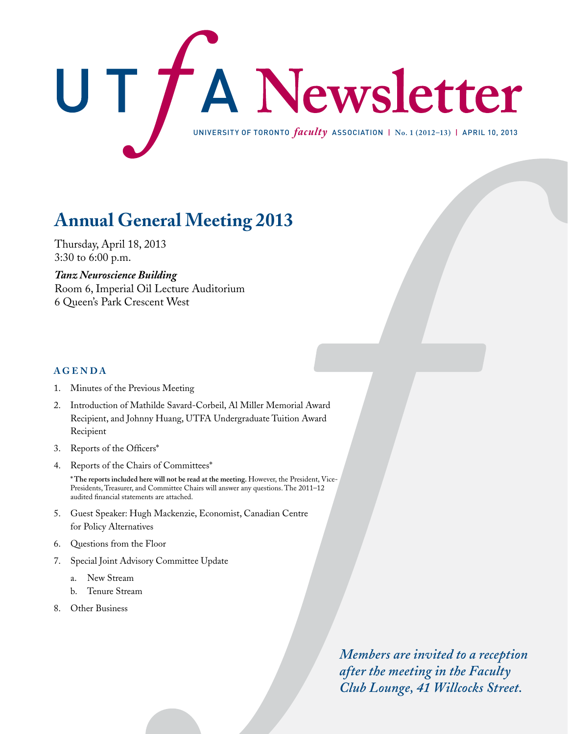

# **Annual General Meeting 2013**

Thursday, April 18, 2013 3:30 to 6:00 p.m.

### *Tanz Neuroscience Building*

Room 6, Imperial Oil Lecture Auditorium 6 Queen's Park Crescent West

### **AGENDA**

- 1. Minutes of the Previous Meeting
- 2. Introduction of Mathilde Savard-Corbeil, Al Miller Memorial Award Recipient, and Johnny Huang, UTFA Undergraduate Tuition Award Recipient
- 3. Reports of the Officers\*
- 4. Reports of the Chairs of Committees\*

**\* The reports included here will not be read at the meeting.** However, the President, Vice-Presidents, Treasurer, and Committee Chairs will answer any questions. The 2011–12 audited financial statements are attached.

- 5. Guest Speaker: Hugh Mackenzie, Economist, Canadian Centre for Policy Alternatives
- 6. Questions from the Floor
- 7. Special Joint Advisory Committee Update
	- a. New Stream
	- b. Tenure Stream
- 8. Other Business

*Members are invited to a reception after the meeting in the Faculty Club Lounge, 41 Willcocks Street.*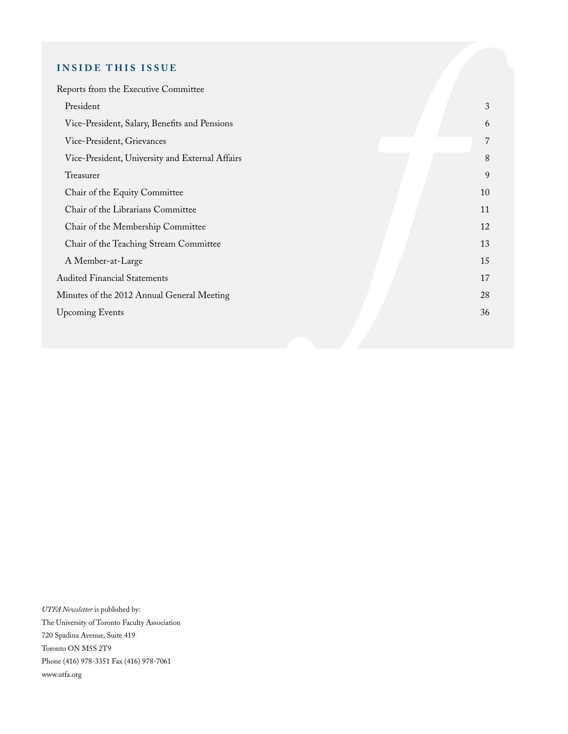### **INSIDE THIS ISSUE**

| Reports from the Executive Committee            |    |
|-------------------------------------------------|----|
| President                                       | 3  |
| Vice-President, Salary, Benefits and Pensions   | 6  |
| Vice-President, Grievances                      | 7  |
| Vice-President, University and External Affairs | 8  |
| Treasurer                                       | 9  |
| Chair of the Equity Committee                   | 10 |
| Chair of the Librarians Committee               | 11 |
| Chair of the Membership Committee               | 12 |
| Chair of the Teaching Stream Committee          | 13 |
| A Member-at-Large                               | 15 |
| <b>Audited Financial Statements</b>             | 17 |
| Minutes of the 2012 Annual General Meeting      | 28 |
| <b>Upcoming Events</b>                          | 36 |
|                                                 |    |

*UTFA Newsletter* is published by: The University of Toronto Faculty Association 720 Spadina Avenue, Suite 419 Toronto ON M5S 2T9 Phone (416) 978-3351 Fax (416) 978-7061 www.utfa.org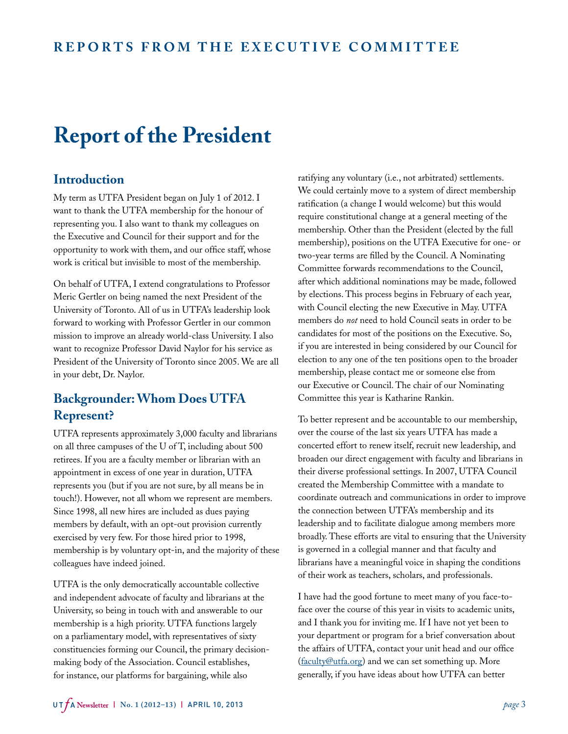# **REPORTS FROM THE EXECUTIVE COMMITTEE**

# **Report of the President**

## **Introduction**

My term as UTFA President began on July 1 of 2012. I want to thank the UTFA membership for the honour of representing you. I also want to thank my colleagues on the Executive and Council for their support and for the opportunity to work with them, and our office staff, whose work is critical but invisible to most of the membership.

On behalf of UTFA, I extend congratulations to Professor Meric Gertler on being named the next President of the University of Toronto. All of us in UTFA's leadership look forward to working with Professor Gertler in our common mission to improve an already world-class University. I also want to recognize Professor David Naylor for his service as President of the University of Toronto since 2005. We are all in your debt, Dr. Naylor.

# **Backgrounder: Whom Does UTFA Represent?**

UTFA represents approximately 3,000 faculty and librarians on all three campuses of the U of T, including about 500 retirees. If you are a faculty member or librarian with an appointment in excess of one year in duration, UTFA represents you (but if you are not sure, by all means be in touch!). However, not all whom we represent are members. Since 1998, all new hires are included as dues paying members by default, with an opt-out provision currently exercised by very few. For those hired prior to 1998, membership is by voluntary opt-in, and the majority of these colleagues have indeed joined.

UTFA is the only democratically accountable collective and independent advocate of faculty and librarians at the University, so being in touch with and answerable to our membership is a high priority. UTFA functions largely on a parliamentary model, with representatives of sixty constituencies forming our Council, the primary decisionmaking body of the Association. Council establishes, for instance, our platforms for bargaining, while also

ratifying any voluntary (i.e., not arbitrated) settlements. We could certainly move to a system of direct membership ratification (a change I would welcome) but this would require constitutional change at a general meeting of the membership. Other than the President (elected by the full membership), positions on the UTFA Executive for one- or two-year terms are filled by the Council. A Nominating Committee forwards recommendations to the Council, after which additional nominations may be made, followed by elections. This process begins in February of each year, with Council electing the new Executive in May. UTFA members do *not* need to hold Council seats in order to be candidates for most of the positions on the Executive. So, if you are interested in being considered by our Council for election to any one of the ten positions open to the broader membership, please contact me or someone else from our Executive or Council. The chair of our Nominating Committee this year is Katharine Rankin.

To better represent and be accountable to our membership, over the course of the last six years UTFA has made a concerted effort to renew itself, recruit new leadership, and broaden our direct engagement with faculty and librarians in their diverse professional settings. In 2007, UTFA Council created the Membership Committee with a mandate to coordinate outreach and communications in order to improve the connection between UTFA's membership and its leadership and to facilitate dialogue among members more broadly. These efforts are vital to ensuring that the University is governed in a collegial manner and that faculty and librarians have a meaningful voice in shaping the conditions of their work as teachers, scholars, and professionals.

I have had the good fortune to meet many of you face-toface over the course of this year in visits to academic units, and I thank you for inviting me. If I have not yet been to your department or program for a brief conversation about the affairs of UTFA, contact your unit head and our office ([faculty@utfa.org\)](mailto:faculty@utfa.org) and we can set something up. More generally, if you have ideas about how UTFA can better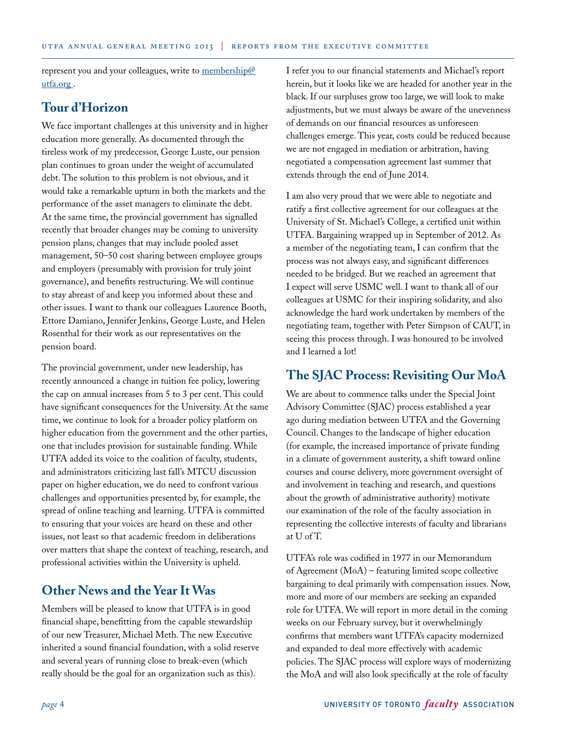represent you and your colleagues, write to [membership@](mailto:membership@utfa.org) [utfa.org](mailto:membership@utfa.org).

## **Tour d'Horizon**

We face important challenges at this university and in higher education more generally. As documented through the tireless work of my predecessor, George Luste, our pension plan continues to groan under the weight of accumulated debt. The solution to this problem is not obvious, and it would take a remarkable upturn in both the markets and the performance of the asset managers to eliminate the debt. At the same time, the provincial government has signalled recently that broader changes may be coming to university pension plans, changes that may include pooled asset management, 50–50 cost sharing between employee groups and employers (presumably with provision for truly joint governance), and benefits restructuring. We will continue to stay abreast of and keep you informed about these and other issues. I want to thank our colleagues Laurence Booth, Ettore Damiano, Jennifer Jenkins, George Luste, and Helen Rosenthal for their work as our representatives on the pension board.

The provincial government, under new leadership, has recently announced a change in tuition fee policy, lowering the cap on annual increases from 5 to 3 per cent. This could have significant consequences for the University. At the same time, we continue to look for a broader policy platform on higher education from the government and the other parties, one that includes provision for sustainable funding. While UTFA added its voice to the coalition of faculty, students, and administrators criticizing last fall's MTCU discussion paper on higher education, we do need to confront various challenges and opportunities presented by, for example, the spread of online teaching and learning. UTFA is committed to ensuring that your voices are heard on these and other issues, not least so that academic freedom in deliberations over matters that shape the context of teaching, research, and professional activities within the University is upheld.

# **Other News and the Year It Was**

Members will be pleased to know that UTFA is in good financial shape, benefitting from the capable stewardship of our new Treasurer, Michael Meth. The new Executive inherited a sound financial foundation, with a solid reserve and several years of running close to break-even (which really should be the goal for an organization such as this).

I refer you to our financial statements and Michael's report herein, but it looks like we are headed for another year in the black. If our surpluses grow too large, we will look to make adjustments, but we must always be aware of the unevenness of demands on our financial resources as unforeseen challenges emerge. This year, costs could be reduced because we are not engaged in mediation or arbitration, having negotiated a compensation agreement last summer that extends through the end of June 2014.

I am also very proud that we were able to negotiate and ratify a first collective agreement for our colleagues at the University of St. Michael's College, a certified unit within UTFA. Bargaining wrapped up in September of 2012. As a member of the negotiating team, I can confirm that the process was not always easy, and significant differences needed to be bridged. But we reached an agreement that I expect will serve USMC well. I want to thank all of our colleagues at USMC for their inspiring solidarity, and also acknowledge the hard work undertaken by members of the negotiating team, together with Peter Simpson of CAUT, in seeing this process through. I was honoured to be involved and I learned a lot!

## **The SJAC Process: Revisiting Our MoA**

We are about to commence talks under the Special Joint Advisory Committee (SJAC) process established a year ago during mediation between UTFA and the Governing Council. Changes to the landscape of higher education (for example, the increased importance of private funding in a climate of government austerity, a shift toward online courses and course delivery, more government oversight of and involvement in teaching and research, and questions about the growth of administrative authority) motivate our examination of the role of the faculty association in representing the collective interests of faculty and librarians at U of T.

UTFA's role was codified in 1977 in our Memorandum of Agreement (MoA) – featuring limited scope collective bargaining to deal primarily with compensation issues. Now, more and more of our members are seeking an expanded role for UTFA. We will report in more detail in the coming weeks on our February survey, but it overwhelmingly confirms that members want UTFA's capacity modernized and expanded to deal more effectively with academic policies. The SJAC process will explore ways of modernizing the MoA and will also look specifically at the role of faculty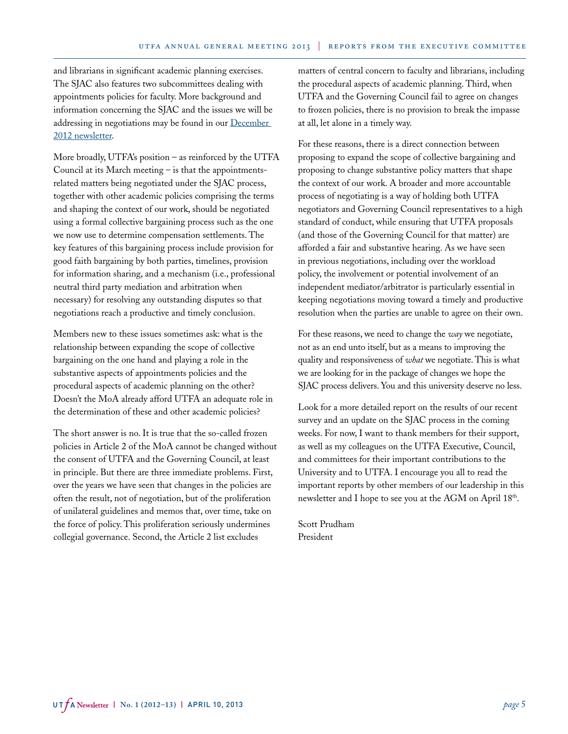and librarians in significant academic planning exercises. The SJAC also features two subcommittees dealing with appointments policies for faculty. More background and information concerning the SJAC and the issues we will be addressing in negotiations may be found in our [December](http://www.utfa.org/sites/default/files/webfiles/SJAC%20Information%20Report%20%231.pdf)  [2012 newsletter.](http://www.utfa.org/sites/default/files/webfiles/SJAC%20Information%20Report%20%231.pdf)

More broadly, UTFA's position – as reinforced by the UTFA Council at its March meeting – is that the appointmentsrelated matters being negotiated under the SJAC process, together with other academic policies comprising the terms and shaping the context of our work, should be negotiated using a formal collective bargaining process such as the one we now use to determine compensation settlements. The key features of this bargaining process include provision for good faith bargaining by both parties, timelines, provision for information sharing, and a mechanism (i.e., professional neutral third party mediation and arbitration when necessary) for resolving any outstanding disputes so that negotiations reach a productive and timely conclusion.

Members new to these issues sometimes ask: what is the relationship between expanding the scope of collective bargaining on the one hand and playing a role in the substantive aspects of appointments policies and the procedural aspects of academic planning on the other? Doesn't the MoA already afford UTFA an adequate role in the determination of these and other academic policies?

The short answer is no. It is true that the so-called frozen policies in Article 2 of the MoA cannot be changed without the consent of UTFA and the Governing Council, at least in principle. But there are three immediate problems. First, over the years we have seen that changes in the policies are often the result, not of negotiation, but of the proliferation of unilateral guidelines and memos that, over time, take on the force of policy. This proliferation seriously undermines collegial governance. Second, the Article 2 list excludes

matters of central concern to faculty and librarians, including the procedural aspects of academic planning. Third, when UTFA and the Governing Council fail to agree on changes to frozen policies, there is no provision to break the impasse at all, let alone in a timely way.

For these reasons, there is a direct connection between proposing to expand the scope of collective bargaining and proposing to change substantive policy matters that shape the context of our work. A broader and more accountable process of negotiating is a way of holding both UTFA negotiators and Governing Council representatives to a high standard of conduct, while ensuring that UTFA proposals (and those of the Governing Council for that matter) are afforded a fair and substantive hearing. As we have seen in previous negotiations, including over the workload policy, the involvement or potential involvement of an independent mediator/arbitrator is particularly essential in keeping negotiations moving toward a timely and productive resolution when the parties are unable to agree on their own.

For these reasons, we need to change the *way* we negotiate, not as an end unto itself, but as a means to improving the quality and responsiveness of *what* we negotiate. This is what we are looking for in the package of changes we hope the SJAC process delivers. You and this university deserve no less.

Look for a more detailed report on the results of our recent survey and an update on the SJAC process in the coming weeks. For now, I want to thank members for their support, as well as my colleagues on the UTFA Executive, Council, and committees for their important contributions to the University and to UTFA. I encourage you all to read the important reports by other members of our leadership in this newsletter and I hope to see you at the AGM on April 18th.

Scott Prudham President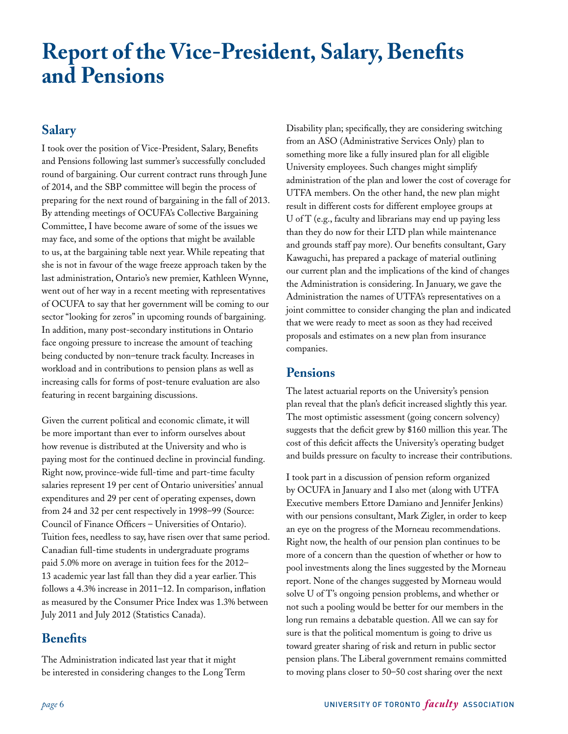# **Report of the Vice-President, Salary, Benefits and Pensions**

## **Salary**

I took over the position of Vice-President, Salary, Benefits and Pensions following last summer's successfully concluded round of bargaining. Our current contract runs through June of 2014, and the SBP committee will begin the process of preparing for the next round of bargaining in the fall of 2013. By attending meetings of OCUFA's Collective Bargaining Committee, I have become aware of some of the issues we may face, and some of the options that might be available to us, at the bargaining table next year. While repeating that she is not in favour of the wage freeze approach taken by the last administration, Ontario's new premier, Kathleen Wynne, went out of her way in a recent meeting with representatives of OCUFA to say that her government will be coming to our sector "looking for zeros" in upcoming rounds of bargaining. In addition, many post-secondary institutions in Ontario face ongoing pressure to increase the amount of teaching being conducted by non–tenure track faculty. Increases in workload and in contributions to pension plans as well as increasing calls for forms of post-tenure evaluation are also featuring in recent bargaining discussions.

Given the current political and economic climate, it will be more important than ever to inform ourselves about how revenue is distributed at the University and who is paying most for the continued decline in provincial funding. Right now, province-wide full-time and part-time faculty salaries represent 19 per cent of Ontario universities' annual expenditures and 29 per cent of operating expenses, down from 24 and 32 per cent respectively in 1998–99 (Source: Council of Finance Officers – Universities of Ontario). Tuition fees, needless to say, have risen over that same period. Canadian full-time students in undergraduate programs paid 5.0% more on average in tuition fees for the 2012– 13 academic year last fall than they did a year earlier. This follows a 4.3% increase in 2011–12. In comparison, inflation as measured by the Consumer Price Index was 1.3% between July 2011 and July 2012 (Statistics Canada).

# **Benefits**

The Administration indicated last year that it might be interested in considering changes to the Long Term Disability plan; specifically, they are considering switching from an ASO (Administrative Services Only) plan to something more like a fully insured plan for all eligible University employees. Such changes might simplify administration of the plan and lower the cost of coverage for UTFA members. On the other hand, the new plan might result in different costs for different employee groups at U of T (e.g., faculty and librarians may end up paying less than they do now for their LTD plan while maintenance and grounds staff pay more). Our benefits consultant, Gary Kawaguchi, has prepared a package of material outlining our current plan and the implications of the kind of changes the Administration is considering. In January, we gave the Administration the names of UTFA's representatives on a joint committee to consider changing the plan and indicated that we were ready to meet as soon as they had received proposals and estimates on a new plan from insurance companies.

## **Pensions**

The latest actuarial reports on the University's pension plan reveal that the plan's deficit increased slightly this year. The most optimistic assessment (going concern solvency) suggests that the deficit grew by \$160 million this year. The cost of this deficit affects the University's operating budget and builds pressure on faculty to increase their contributions.

I took part in a discussion of pension reform organized by OCUFA in January and I also met (along with UTFA Executive members Ettore Damiano and Jennifer Jenkins) with our pensions consultant, Mark Zigler, in order to keep an eye on the progress of the Morneau recommendations. Right now, the health of our pension plan continues to be more of a concern than the question of whether or how to pool investments along the lines suggested by the Morneau report. None of the changes suggested by Morneau would solve U of T's ongoing pension problems, and whether or not such a pooling would be better for our members in the long run remains a debatable question. All we can say for sure is that the political momentum is going to drive us toward greater sharing of risk and return in public sector pension plans. The Liberal government remains committed to moving plans closer to 50–50 cost sharing over the next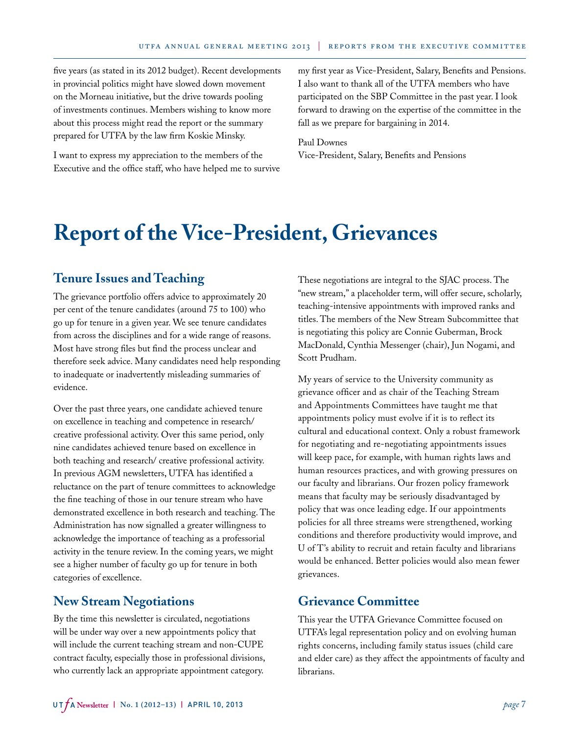five years (as stated in its 2012 budget). Recent developments in provincial politics might have slowed down movement on the Morneau initiative, but the drive towards pooling of investments continues. Members wishing to know more about this process might read the report or the summary prepared for UTFA by the law firm Koskie Minsky.

I want to express my appreciation to the members of the Executive and the office staff, who have helped me to survive my first year as Vice-President, Salary, Benefits and Pensions. I also want to thank all of the UTFA members who have participated on the SBP Committee in the past year. I look forward to drawing on the expertise of the committee in the fall as we prepare for bargaining in 2014.

#### Paul Downes

Vice-President, Salary, Benefits and Pensions

# **Report of the Vice-President, Grievances**

## **Tenure Issues and Teaching**

The grievance portfolio offers advice to approximately 20 per cent of the tenure candidates (around 75 to 100) who go up for tenure in a given year. We see tenure candidates from across the disciplines and for a wide range of reasons. Most have strong files but find the process unclear and therefore seek advice. Many candidates need help responding to inadequate or inadvertently misleading summaries of evidence.

Over the past three years, one candidate achieved tenure on excellence in teaching and competence in research/ creative professional activity. Over this same period, only nine candidates achieved tenure based on excellence in both teaching and research/ creative professional activity. In previous AGM newsletters, UTFA has identified a reluctance on the part of tenure committees to acknowledge the fine teaching of those in our tenure stream who have demonstrated excellence in both research and teaching. The Administration has now signalled a greater willingness to acknowledge the importance of teaching as a professorial activity in the tenure review. In the coming years, we might see a higher number of faculty go up for tenure in both categories of excellence.

## **New Stream Negotiations**

By the time this newsletter is circulated, negotiations will be under way over a new appointments policy that will include the current teaching stream and non-CUPE contract faculty, especially those in professional divisions, who currently lack an appropriate appointment category. These negotiations are integral to the SJAC process. The "new stream," a placeholder term, will offer secure, scholarly, teaching-intensive appointments with improved ranks and titles. The members of the New Stream Subcommittee that is negotiating this policy are Connie Guberman, Brock MacDonald, Cynthia Messenger (chair), Jun Nogami, and Scott Prudham.

My years of service to the University community as grievance officer and as chair of the Teaching Stream and Appointments Committees have taught me that appointments policy must evolve if it is to reflect its cultural and educational context. Only a robust framework for negotiating and re-negotiating appointments issues will keep pace, for example, with human rights laws and human resources practices, and with growing pressures on our faculty and librarians. Our frozen policy framework means that faculty may be seriously disadvantaged by policy that was once leading edge. If our appointments policies for all three streams were strengthened, working conditions and therefore productivity would improve, and U of T's ability to recruit and retain faculty and librarians would be enhanced. Better policies would also mean fewer grievances.

## **Grievance Committee**

This year the UTFA Grievance Committee focused on UTFA's legal representation policy and on evolving human rights concerns, including family status issues (child care and elder care) as they affect the appointments of faculty and librarians.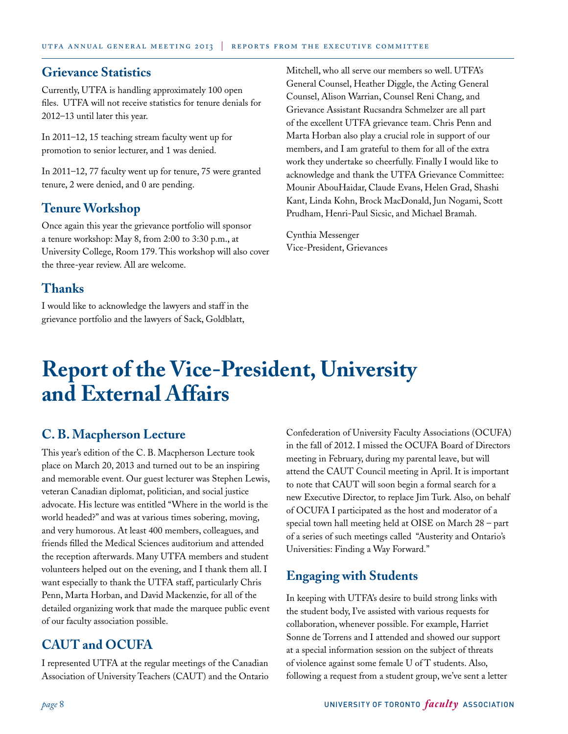## **Grievance Statistics**

Currently, UTFA is handling approximately 100 open files. UTFA will not receive statistics for tenure denials for 2012–13 until later this year.

In 2011–12, 15 teaching stream faculty went up for promotion to senior lecturer, and 1 was denied.

In 2011–12, 77 faculty went up for tenure, 75 were granted tenure, 2 were denied, and 0 are pending.

## **Tenure Workshop**

Once again this year the grievance portfolio will sponsor a tenure workshop: May 8, from 2:00 to 3:30 p.m., at University College, Room 179. This workshop will also cover the three-year review. All are welcome.

**Thanks**

I would like to acknowledge the lawyers and staff in the grievance portfolio and the lawyers of Sack, Goldblatt,

Mitchell, who all serve our members so well. UTFA's General Counsel, Heather Diggle, the Acting General Counsel, Alison Warrian, Counsel Reni Chang, and Grievance Assistant Rucsandra Schmelzer are all part of the excellent UTFA grievance team. Chris Penn and Marta Horban also play a crucial role in support of our members, and I am grateful to them for all of the extra work they undertake so cheerfully. Finally I would like to acknowledge and thank the UTFA Grievance Committee: Mounir AbouHaidar, Claude Evans, Helen Grad, Shashi Kant, Linda Kohn, Brock MacDonald, Jun Nogami, Scott Prudham, Henri-Paul Sicsic, and Michael Bramah.

Cynthia Messenger Vice-President, Grievances

# **Report of the Vice-President, University and External Affairs**

## **C. B. Macpherson Lecture**

This year's edition of the C. B. Macpherson Lecture took place on March 20, 2013 and turned out to be an inspiring and memorable event. Our guest lecturer was Stephen Lewis, veteran Canadian diplomat, politician, and social justice advocate. His lecture was entitled "Where in the world is the world headed?" and was at various times sobering, moving, and very humorous. At least 400 members, colleagues, and friends filled the Medical Sciences auditorium and attended the reception afterwards. Many UTFA members and student volunteers helped out on the evening, and I thank them all. I want especially to thank the UTFA staff, particularly Chris Penn, Marta Horban, and David Mackenzie, for all of the detailed organizing work that made the marquee public event of our faculty association possible.

## **CAUT and OCUFA**

I represented UTFA at the regular meetings of the Canadian Association of University Teachers (CAUT) and the Ontario

Confederation of University Faculty Associations (OCUFA) in the fall of 2012. I missed the OCUFA Board of Directors meeting in February, during my parental leave, but will attend the CAUT Council meeting in April. It is important to note that CAUT will soon begin a formal search for a new Executive Director, to replace Jim Turk. Also, on behalf of OCUFA I participated as the host and moderator of a special town hall meeting held at OISE on March 28 – part of a series of such meetings called "Austerity and Ontario's Universities: Finding a Way Forward."

## **Engaging with Students**

In keeping with UTFA's desire to build strong links with the student body, I've assisted with various requests for collaboration, whenever possible. For example, Harriet Sonne de Torrens and I attended and showed our support at a special information session on the subject of threats of violence against some female U of T students. Also, following a request from a student group, we've sent a letter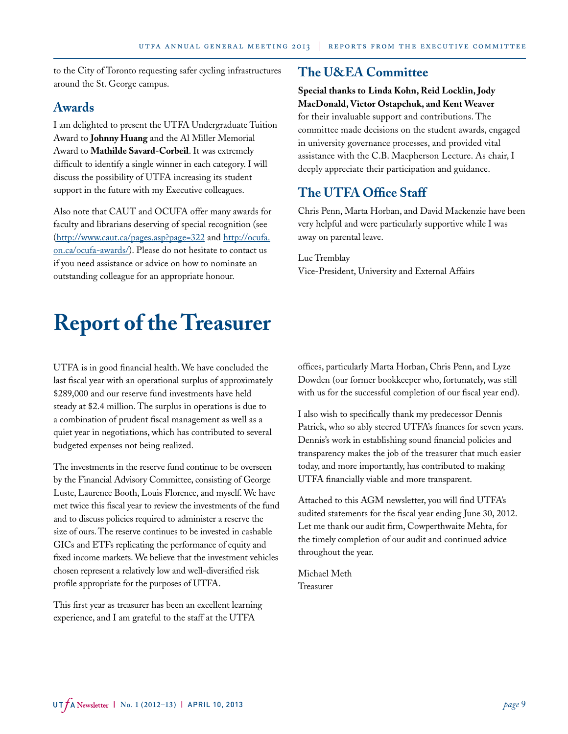to the City of Toronto requesting safer cycling infrastructures around the St. George campus.

## **Awards**

I am delighted to present the UTFA Undergraduate Tuition Award to **Johnny Huang** and the Al Miller Memorial Award to **Mathilde Savard-Corbeil**. It was extremely difficult to identify a single winner in each category. I will discuss the possibility of UTFA increasing its student support in the future with my Executive colleagues.

Also note that CAUT and OCUFA offer many awards for faculty and librarians deserving of special recognition (see (<http://www.caut.ca/pages.asp?page=322>and [http://ocufa.](http://ocufa.on.ca/ocufa-awards/) [on.ca/ocufa-awards/\)](http://ocufa.on.ca/ocufa-awards/). Please do not hesitate to contact us if you need assistance or advice on how to nominate an outstanding colleague for an appropriate honour.

# **Report of the Treasurer**

UTFA is in good financial health. We have concluded the last fiscal year with an operational surplus of approximately \$289,000 and our reserve fund investments have held steady at \$2.4 million. The surplus in operations is due to a combination of prudent fiscal management as well as a quiet year in negotiations, which has contributed to several budgeted expenses not being realized.

The investments in the reserve fund continue to be overseen by the Financial Advisory Committee, consisting of George Luste, Laurence Booth, Louis Florence, and myself. We have met twice this fiscal year to review the investments of the fund and to discuss policies required to administer a reserve the size of ours. The reserve continues to be invested in cashable GICs and ETFs replicating the performance of equity and fixed income markets. We believe that the investment vehicles chosen represent a relatively low and well-diversified risk profile appropriate for the purposes of UTFA.

This first year as treasurer has been an excellent learning experience, and I am grateful to the staff at the UTFA

## **The U&EA Committee**

## **Special thanks to Linda Kohn, Reid Locklin, Jody MacDonald, Victor Ostapchuk, and Kent Weaver** for their invaluable support and contributions. The committee made decisions on the student awards, engaged in university governance processes, and provided vital assistance with the C.B. Macpherson Lecture. As chair, I

deeply appreciate their participation and guidance.

# **The UTFA Office Staff**

Chris Penn, Marta Horban, and David Mackenzie have been very helpful and were particularly supportive while I was away on parental leave.

Luc Tremblay Vice-President, University and External Affairs

offices, particularly Marta Horban, Chris Penn, and Lyze Dowden (our former bookkeeper who, fortunately, was still with us for the successful completion of our fiscal year end).

I also wish to specifically thank my predecessor Dennis Patrick, who so ably steered UTFA's finances for seven years. Dennis's work in establishing sound financial policies and transparency makes the job of the treasurer that much easier today, and more importantly, has contributed to making UTFA financially viable and more transparent.

Attached to this AGM newsletter, you will find UTFA's audited statements for the fiscal year ending June 30, 2012. Let me thank our audit firm, Cowperthwaite Mehta, for the timely completion of our audit and continued advice throughout the year.

Michael Meth Treasurer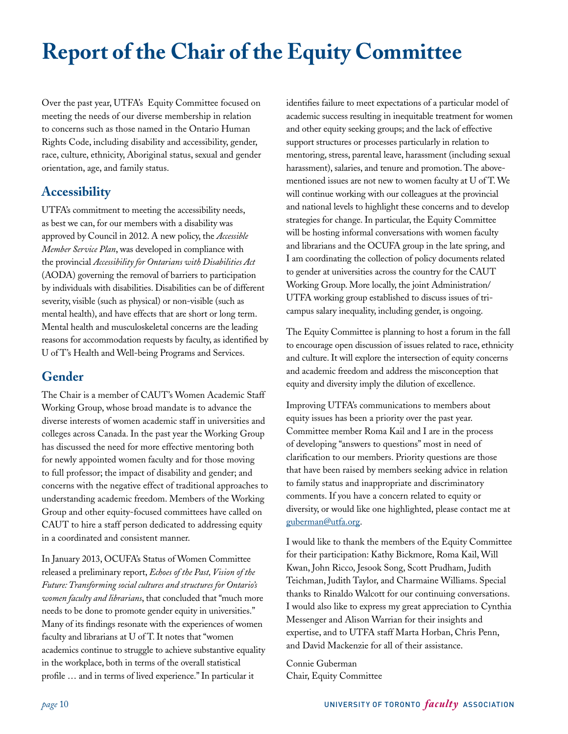# **Report of the Chair of the Equity Committee**

Over the past year, UTFA's Equity Committee focused on meeting the needs of our diverse membership in relation to concerns such as those named in the Ontario Human Rights Code, including disability and accessibility, gender, race, culture, ethnicity, Aboriginal status, sexual and gender orientation, age, and family status.

# **Accessibility**

UTFA's commitment to meeting the accessibility needs, as best we can, for our members with a disability was approved by Council in 2012. A new policy, the *Accessible Member Service Plan*, was developed in compliance with the provincial *Accessibility for Ontarians with Disabilities Act* (AODA) governing the removal of barriers to participation by individuals with disabilities. Disabilities can be of different severity, visible (such as physical) or non-visible (such as mental health), and have effects that are short or long term. Mental health and musculoskeletal concerns are the leading reasons for accommodation requests by faculty, as identified by U of T's Health and Well-being Programs and Services.

# **Gender**

The Chair is a member of CAUT's Women Academic Staff Working Group, whose broad mandate is to advance the diverse interests of women academic staff in universities and colleges across Canada. In the past year the Working Group has discussed the need for more effective mentoring both for newly appointed women faculty and for those moving to full professor; the impact of disability and gender; and concerns with the negative effect of traditional approaches to understanding academic freedom. Members of the Working Group and other equity-focused committees have called on CAUT to hire a staff person dedicated to addressing equity in a coordinated and consistent manner.

In January 2013, OCUFA's Status of Women Committee released a preliminary report, *Echoes of the Past, Vision of the Future: Transforming social cultures and structures for Ontario's women faculty and librarians*, that concluded that "much more needs to be done to promote gender equity in universities." Many of its findings resonate with the experiences of women faculty and librarians at U of T. It notes that "women academics continue to struggle to achieve substantive equality in the workplace, both in terms of the overall statistical profile … and in terms of lived experience." In particular it

identifies failure to meet expectations of a particular model of academic success resulting in inequitable treatment for women and other equity seeking groups; and the lack of effective support structures or processes particularly in relation to mentoring, stress, parental leave, harassment (including sexual harassment), salaries, and tenure and promotion. The abovementioned issues are not new to women faculty at U of T. We will continue working with our colleagues at the provincial and national levels to highlight these concerns and to develop strategies for change. In particular, the Equity Committee will be hosting informal conversations with women faculty and librarians and the OCUFA group in the late spring, and I am coordinating the collection of policy documents related to gender at universities across the country for the CAUT Working Group. More locally, the joint Administration/ UTFA working group established to discuss issues of tricampus salary inequality, including gender, is ongoing.

The Equity Committee is planning to host a forum in the fall to encourage open discussion of issues related to race, ethnicity and culture. It will explore the intersection of equity concerns and academic freedom and address the misconception that equity and diversity imply the dilution of excellence.

Improving UTFA's communications to members about equity issues has been a priority over the past year. Committee member Roma Kail and I are in the process of developing "answers to questions" most in need of clarification to our members. Priority questions are those that have been raised by members seeking advice in relation to family status and inappropriate and discriminatory comments. If you have a concern related to equity or diversity, or would like one highlighted, please contact me at [guberman@utfa.org](mailto:guberman@utfa.org).

I would like to thank the members of the Equity Committee for their participation: Kathy Bickmore, Roma Kail, Will Kwan, John Ricco, Jesook Song, Scott Prudham, Judith Teichman, Judith Taylor, and Charmaine Williams. Special thanks to Rinaldo Walcott for our continuing conversations. I would also like to express my great appreciation to Cynthia Messenger and Alison Warrian for their insights and expertise, and to UTFA staff Marta Horban, Chris Penn, and David Mackenzie for all of their assistance.

Connie Guberman Chair, Equity Committee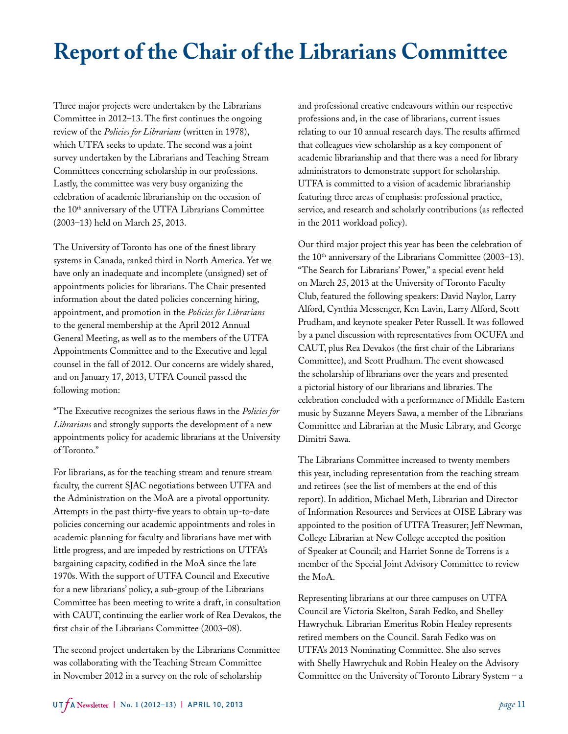# **Report of the Chair of the Librarians Committee**

Three major projects were undertaken by the Librarians Committee in 2012–13. The first continues the ongoing review of the *Policies for Librarians* (written in 1978), which UTFA seeks to update. The second was a joint survey undertaken by the Librarians and Teaching Stream Committees concerning scholarship in our professions. Lastly, the committee was very busy organizing the celebration of academic librarianship on the occasion of the 10th anniversary of the UTFA Librarians Committee (2003–13) held on March 25, 2013.

The University of Toronto has one of the finest library systems in Canada, ranked third in North America. Yet we have only an inadequate and incomplete (unsigned) set of appointments policies for librarians. The Chair presented information about the dated policies concerning hiring, appointment, and promotion in the *Policies for Librarians* to the general membership at the April 2012 Annual General Meeting, as well as to the members of the UTFA Appointments Committee and to the Executive and legal counsel in the fall of 2012. Our concerns are widely shared, and on January 17, 2013, UTFA Council passed the following motion:

"The Executive recognizes the serious flaws in the *Policies for Librarians* and strongly supports the development of a new appointments policy for academic librarians at the University of Toronto."

For librarians, as for the teaching stream and tenure stream faculty, the current SJAC negotiations between UTFA and the Administration on the MoA are a pivotal opportunity. Attempts in the past thirty-five years to obtain up-to-date policies concerning our academic appointments and roles in academic planning for faculty and librarians have met with little progress, and are impeded by restrictions on UTFA's bargaining capacity, codified in the MoA since the late 1970s. With the support of UTFA Council and Executive for a new librarians' policy, a sub-group of the Librarians Committee has been meeting to write a draft, in consultation with CAUT, continuing the earlier work of Rea Devakos, the first chair of the Librarians Committee (2003–08).

The second project undertaken by the Librarians Committee was collaborating with the Teaching Stream Committee in November 2012 in a survey on the role of scholarship

and professional creative endeavours within our respective professions and, in the case of librarians, current issues relating to our 10 annual research days. The results affirmed that colleagues view scholarship as a key component of academic librarianship and that there was a need for library administrators to demonstrate support for scholarship. UTFA is committed to a vision of academic librarianship featuring three areas of emphasis: professional practice, service, and research and scholarly contributions (as reflected in the 2011 workload policy).

Our third major project this year has been the celebration of the 10<sup>th</sup> anniversary of the Librarians Committee (2003-13). "The Search for Librarians' Power," a special event held on March 25, 2013 at the University of Toronto Faculty Club, featured the following speakers: David Naylor, Larry Alford, Cynthia Messenger, Ken Lavin, Larry Alford, Scott Prudham, and keynote speaker Peter Russell. It was followed by a panel discussion with representatives from OCUFA and CAUT, plus Rea Devakos (the first chair of the Librarians Committee), and Scott Prudham. The event showcased the scholarship of librarians over the years and presented a pictorial history of our librarians and libraries. The celebration concluded with a performance of Middle Eastern music by Suzanne Meyers Sawa, a member of the Librarians Committee and Librarian at the Music Library, and George Dimitri Sawa.

The Librarians Committee increased to twenty members this year, including representation from the teaching stream and retirees (see the list of members at the end of this report). In addition, Michael Meth, Librarian and Director of Information Resources and Services at OISE Library was appointed to the position of UTFA Treasurer; Jeff Newman, College Librarian at New College accepted the position of Speaker at Council; and Harriet Sonne de Torrens is a member of the Special Joint Advisory Committee to review the MoA.

Representing librarians at our three campuses on UTFA Council are Victoria Skelton, Sarah Fedko, and Shelley Hawrychuk. Librarian Emeritus Robin Healey represents retired members on the Council. Sarah Fedko was on UTFA's 2013 Nominating Committee. She also serves with Shelly Hawrychuk and Robin Healey on the Advisory Committee on the University of Toronto Library System – a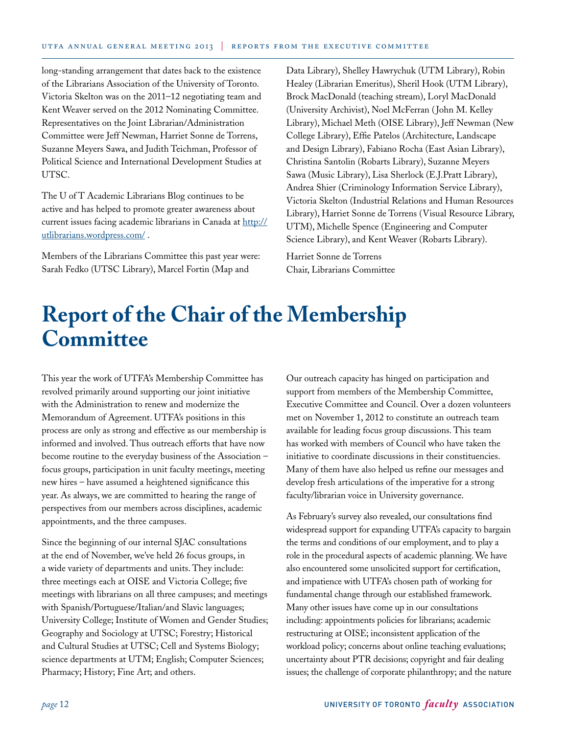long-standing arrangement that dates back to the existence of the Librarians Association of the University of Toronto. Victoria Skelton was on the 2011–12 negotiating team and Kent Weaver served on the 2012 Nominating Committee. Representatives on the Joint Librarian/Administration Committee were Jeff Newman, Harriet Sonne de Torrens, Suzanne Meyers Sawa, and Judith Teichman, Professor of Political Science and International Development Studies at UTSC.

The U of T Academic Librarians Blog continues to be active and has helped to promote greater awareness about current issues facing academic librarians in Canada at [http://](http://utlibrarians.wordpress.com/) [utlibrarians.wordpress.com/](http://utlibrarians.wordpress.com/) .

Members of the Librarians Committee this past year were: Sarah Fedko (UTSC Library), Marcel Fortin (Map and

Data Library), Shelley Hawrychuk (UTM Library), Robin Healey (Librarian Emeritus), Sheril Hook (UTM Library), Brock MacDonald (teaching stream), Loryl MacDonald (University Archivist), Noel McFerran ( John M. Kelley Library), Michael Meth (OISE Library), Jeff Newman (New College Library), Effie Patelos (Architecture, Landscape and Design Library), Fabiano Rocha (East Asian Library), Christina Santolin (Robarts Library), Suzanne Meyers Sawa (Music Library), Lisa Sherlock (E.J.Pratt Library), Andrea Shier (Criminology Information Service Library), Victoria Skelton (Industrial Relations and Human Resources Library), Harriet Sonne de Torrens (Visual Resource Library, UTM), Michelle Spence (Engineering and Computer Science Library), and Kent Weaver (Robarts Library).

Harriet Sonne de Torrens Chair, Librarians Committee

# **Report of the Chair of the Membership Committee**

This year the work of UTFA's Membership Committee has revolved primarily around supporting our joint initiative with the Administration to renew and modernize the Memorandum of Agreement. UTFA's positions in this process are only as strong and effective as our membership is informed and involved. Thus outreach efforts that have now become routine to the everyday business of the Association – focus groups, participation in unit faculty meetings, meeting new hires – have assumed a heightened significance this year. As always, we are committed to hearing the range of perspectives from our members across disciplines, academic appointments, and the three campuses.

Since the beginning of our internal SJAC consultations at the end of November, we've held 26 focus groups, in a wide variety of departments and units. They include: three meetings each at OISE and Victoria College; five meetings with librarians on all three campuses; and meetings with Spanish/Portuguese/Italian/and Slavic languages; University College; Institute of Women and Gender Studies; Geography and Sociology at UTSC; Forestry; Historical and Cultural Studies at UTSC; Cell and Systems Biology; science departments at UTM; English; Computer Sciences; Pharmacy; History; Fine Art; and others.

Our outreach capacity has hinged on participation and support from members of the Membership Committee, Executive Committee and Council. Over a dozen volunteers met on November 1, 2012 to constitute an outreach team available for leading focus group discussions. This team has worked with members of Council who have taken the initiative to coordinate discussions in their constituencies. Many of them have also helped us refine our messages and develop fresh articulations of the imperative for a strong faculty/librarian voice in University governance.

As February's survey also revealed, our consultations find widespread support for expanding UTFA's capacity to bargain the terms and conditions of our employment, and to play a role in the procedural aspects of academic planning. We have also encountered some unsolicited support for certification, and impatience with UTFA's chosen path of working for fundamental change through our established framework. Many other issues have come up in our consultations including: appointments policies for librarians; academic restructuring at OISE; inconsistent application of the workload policy; concerns about online teaching evaluations; uncertainty about PTR decisions; copyright and fair dealing issues; the challenge of corporate philanthropy; and the nature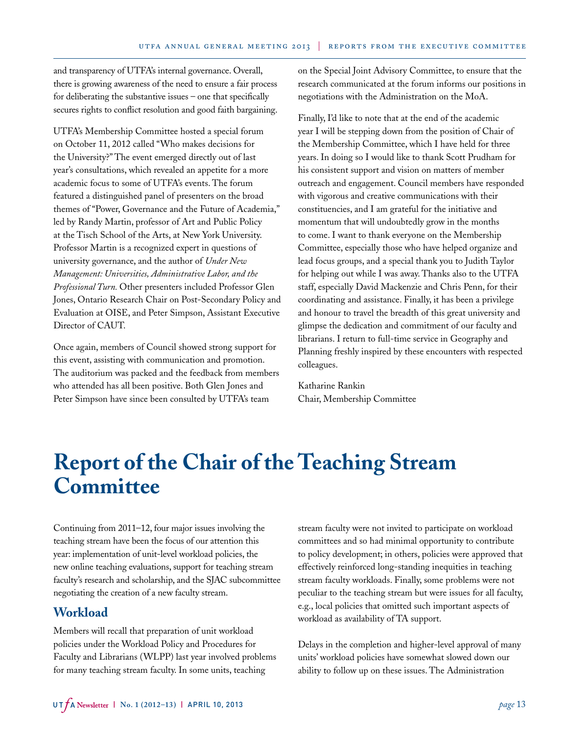and transparency of UTFA's internal governance. Overall, there is growing awareness of the need to ensure a fair process for deliberating the substantive issues – one that specifically secures rights to conflict resolution and good faith bargaining.

UTFA's Membership Committee hosted a special forum on October 11, 2012 called "Who makes decisions for the University?" The event emerged directly out of last year's consultations, which revealed an appetite for a more academic focus to some of UTFA's events. The forum featured a distinguished panel of presenters on the broad themes of "Power, Governance and the Future of Academia," led by Randy Martin, professor of Art and Public Policy at the Tisch School of the Arts, at New York University. Professor Martin is a recognized expert in questions of university governance, and the author of *Under New Management: Universities, Administrative Labor, and the Professional Turn.* Other presenters included Professor Glen Jones, Ontario Research Chair on Post-Secondary Policy and Evaluation at OISE, and Peter Simpson, Assistant Executive Director of CAUT.

Once again, members of Council showed strong support for this event, assisting with communication and promotion. The auditorium was packed and the feedback from members who attended has all been positive. Both Glen Jones and Peter Simpson have since been consulted by UTFA's team

on the Special Joint Advisory Committee, to ensure that the research communicated at the forum informs our positions in negotiations with the Administration on the MoA.

Finally, I'd like to note that at the end of the academic year I will be stepping down from the position of Chair of the Membership Committee, which I have held for three years. In doing so I would like to thank Scott Prudham for his consistent support and vision on matters of member outreach and engagement. Council members have responded with vigorous and creative communications with their constituencies, and I am grateful for the initiative and momentum that will undoubtedly grow in the months to come. I want to thank everyone on the Membership Committee, especially those who have helped organize and lead focus groups, and a special thank you to Judith Taylor for helping out while I was away. Thanks also to the UTFA staff, especially David Mackenzie and Chris Penn, for their coordinating and assistance. Finally, it has been a privilege and honour to travel the breadth of this great university and glimpse the dedication and commitment of our faculty and librarians. I return to full-time service in Geography and Planning freshly inspired by these encounters with respected colleagues.

Katharine Rankin Chair, Membership Committee

# **Report of the Chair of the Teaching Stream Committee**

Continuing from 2011–12, four major issues involving the teaching stream have been the focus of our attention this year: implementation of unit-level workload policies, the new online teaching evaluations, support for teaching stream faculty's research and scholarship, and the SJAC subcommittee negotiating the creation of a new faculty stream.

## **Workload**

Members will recall that preparation of unit workload policies under the Workload Policy and Procedures for Faculty and Librarians (WLPP) last year involved problems for many teaching stream faculty. In some units, teaching

stream faculty were not invited to participate on workload committees and so had minimal opportunity to contribute to policy development; in others, policies were approved that effectively reinforced long-standing inequities in teaching stream faculty workloads. Finally, some problems were not peculiar to the teaching stream but were issues for all faculty, e.g., local policies that omitted such important aspects of workload as availability of TA support.

Delays in the completion and higher-level approval of many units' workload policies have somewhat slowed down our ability to follow up on these issues. The Administration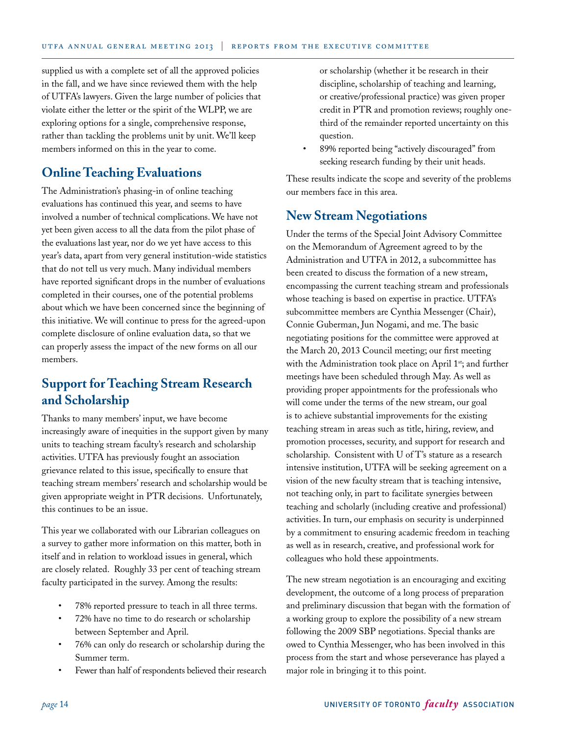supplied us with a complete set of all the approved policies in the fall, and we have since reviewed them with the help of UTFA's lawyers. Given the large number of policies that violate either the letter or the spirit of the WLPP, we are exploring options for a single, comprehensive response, rather than tackling the problems unit by unit. We'll keep members informed on this in the year to come.

## **Online Teaching Evaluations**

The Administration's phasing-in of online teaching evaluations has continued this year, and seems to have involved a number of technical complications. We have not yet been given access to all the data from the pilot phase of the evaluations last year, nor do we yet have access to this year's data, apart from very general institution-wide statistics that do not tell us very much. Many individual members have reported significant drops in the number of evaluations completed in their courses, one of the potential problems about which we have been concerned since the beginning of this initiative. We will continue to press for the agreed-upon complete disclosure of online evaluation data, so that we can properly assess the impact of the new forms on all our members.

# **Support for Teaching Stream Research and Scholarship**

Thanks to many members' input, we have become increasingly aware of inequities in the support given by many units to teaching stream faculty's research and scholarship activities. UTFA has previously fought an association grievance related to this issue, specifically to ensure that teaching stream members' research and scholarship would be given appropriate weight in PTR decisions. Unfortunately, this continues to be an issue.

This year we collaborated with our Librarian colleagues on a survey to gather more information on this matter, both in itself and in relation to workload issues in general, which are closely related. Roughly 33 per cent of teaching stream faculty participated in the survey. Among the results:

- 78% reported pressure to teach in all three terms.
- 72% have no time to do research or scholarship between September and April.
- 76% can only do research or scholarship during the Summer term.
- Fewer than half of respondents believed their research

or scholarship (whether it be research in their discipline, scholarship of teaching and learning, or creative/professional practice) was given proper credit in PTR and promotion reviews; roughly onethird of the remainder reported uncertainty on this question.

• 89% reported being "actively discouraged" from seeking research funding by their unit heads.

These results indicate the scope and severity of the problems our members face in this area.

## **New Stream Negotiations**

Under the terms of the Special Joint Advisory Committee on the Memorandum of Agreement agreed to by the Administration and UTFA in 2012, a subcommittee has been created to discuss the formation of a new stream, encompassing the current teaching stream and professionals whose teaching is based on expertise in practice. UTFA's subcommittee members are Cynthia Messenger (Chair), Connie Guberman, Jun Nogami, and me. The basic negotiating positions for the committee were approved at the March 20, 2013 Council meeting; our first meeting with the Administration took place on April 1<sup>st</sup>; and further meetings have been scheduled through May. As well as providing proper appointments for the professionals who will come under the terms of the new stream, our goal is to achieve substantial improvements for the existing teaching stream in areas such as title, hiring, review, and promotion processes, security, and support for research and scholarship. Consistent with U of T's stature as a research intensive institution, UTFA will be seeking agreement on a vision of the new faculty stream that is teaching intensive, not teaching only, in part to facilitate synergies between teaching and scholarly (including creative and professional) activities. In turn, our emphasis on security is underpinned by a commitment to ensuring academic freedom in teaching as well as in research, creative, and professional work for colleagues who hold these appointments.

The new stream negotiation is an encouraging and exciting development, the outcome of a long process of preparation and preliminary discussion that began with the formation of a working group to explore the possibility of a new stream following the 2009 SBP negotiations. Special thanks are owed to Cynthia Messenger, who has been involved in this process from the start and whose perseverance has played a major role in bringing it to this point.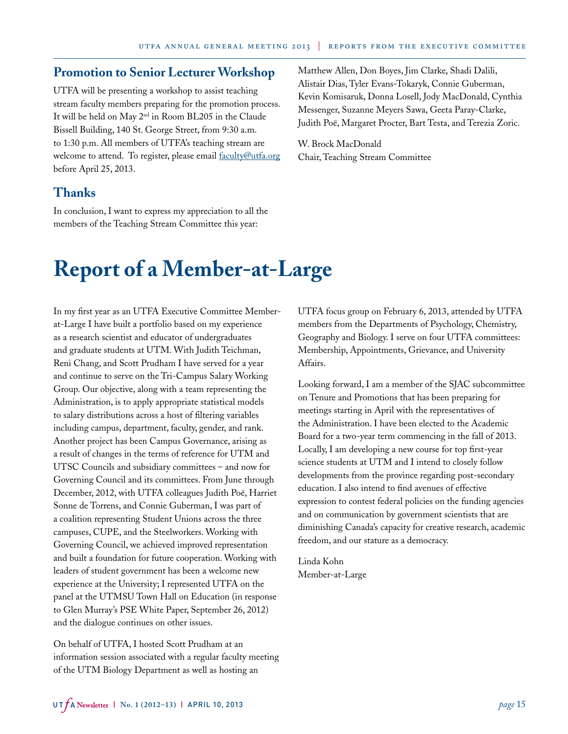## **Promotion to Senior Lecturer Workshop**

UTFA will be presenting a workshop to assist teaching stream faculty members preparing for the promotion process. It will be held on May 2nd in Room BL205 in the Claude Bissell Building, 140 St. George Street, from 9:30 a.m. to 1:30 p.m. All members of UTFA's teaching stream are welcome to attend. To register, please email [faculty@utfa.org](mailto:faculty@utfa.org) before April 25, 2013.

## **Thanks**

In conclusion, I want to express my appreciation to all the members of the Teaching Stream Committee this year:

Matthew Allen, Don Boyes, Jim Clarke, Shadi Dalili, Alistair Dias, Tyler Evans-Tokaryk, Connie Guberman, Kevin Komisaruk, Donna Losell, Jody MacDonald, Cynthia Messenger, Suzanne Meyers Sawa, Geeta Paray-Clarke, Judith Poë, Margaret Procter, Bart Testa, and Terezia Zoric.

W. Brock MacDonald Chair, Teaching Stream Committee

# **Report of a Member-at-Large**

In my first year as an UTFA Executive Committee Memberat-Large I have built a portfolio based on my experience as a research scientist and educator of undergraduates and graduate students at UTM. With Judith Teichman, Reni Chang, and Scott Prudham I have served for a year and continue to serve on the Tri-Campus Salary Working Group. Our objective, along with a team representing the Administration, is to apply appropriate statistical models to salary distributions across a host of filtering variables including campus, department, faculty, gender, and rank. Another project has been Campus Governance, arising as a result of changes in the terms of reference for UTM and UTSC Councils and subsidiary committees – and now for Governing Council and its committees. From June through December, 2012, with UTFA colleagues Judith Poë, Harriet Sonne de Torrens, and Connie Guberman, I was part of a coalition representing Student Unions across the three campuses, CUPE, and the Steelworkers. Working with Governing Council, we achieved improved representation and built a foundation for future cooperation. Working with leaders of student government has been a welcome new experience at the University; I represented UTFA on the panel at the UTMSU Town Hall on Education (in response to Glen Murray's PSE White Paper, September 26, 2012) and the dialogue continues on other issues.

On behalf of UTFA, I hosted Scott Prudham at an information session associated with a regular faculty meeting of the UTM Biology Department as well as hosting an

UTFA focus group on February 6, 2013, attended by UTFA members from the Departments of Psychology, Chemistry, Geography and Biology. I serve on four UTFA committees: Membership, Appointments, Grievance, and University Affairs.

Looking forward, I am a member of the SJAC subcommittee on Tenure and Promotions that has been preparing for meetings starting in April with the representatives of the Administration. I have been elected to the Academic Board for a two-year term commencing in the fall of 2013. Locally, I am developing a new course for top first-year science students at UTM and I intend to closely follow developments from the province regarding post-secondary education. I also intend to find avenues of effective expression to contest federal policies on the funding agencies and on communication by government scientists that are diminishing Canada's capacity for creative research, academic freedom, and our stature as a democracy.

Linda Kohn Member-at-Large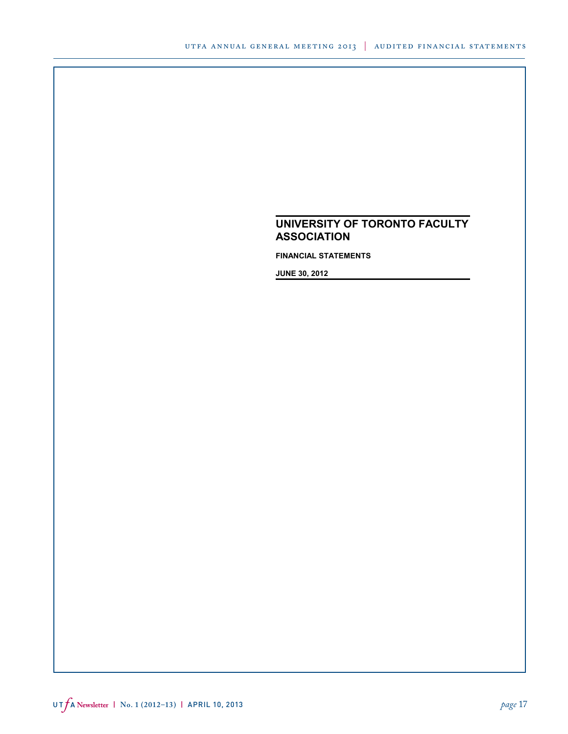**FINANCIAL STATEMENTS**

**JUNE 30, 2012**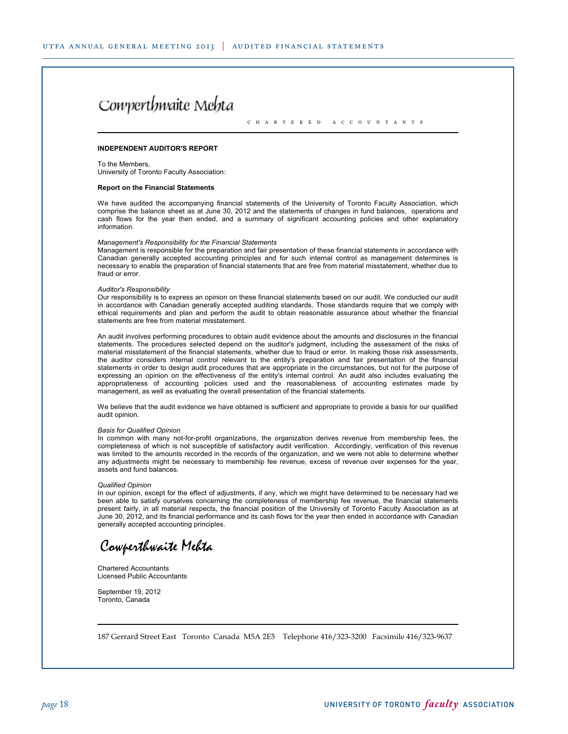# Cowperthwaite Mehta

C H A R T E R E D A C C O U N T A N T S

#### **INDEPENDENT AUDITOR'S REPORT**

To the Members, University of Toronto Faculty Association:

#### **Report on the Financial Statements**

We have audited the accompanying financial statements of the University of Toronto Faculty Association, which comprise the balance sheet as at June 30, 2012 and the statements of changes in fund balances, operations and cash flows for the year then ended, and a summary of significant accounting policies and other explanatory information.

#### *Management's Responsibility for the Financial Statements*

Management is responsible for the preparation and fair presentation of these financial statements in accordance with Canadian generally accepted accounting principles and for such internal control as management determines is necessary to enable the preparation of financial statements that are free from material misstatement, whether due to fraud or error.

#### *Auditor's Responsibility*

Our responsibility is to express an opinion on these financial statements based on our audit. We conducted our audit in accordance with Canadian generally accepted auditing standards. Those standards require that we comply with ethical requirements and plan and perform the audit to obtain reasonable assurance about whether the financial statements are free from material misstatement.

An audit involves performing procedures to obtain audit evidence about the amounts and disclosures in the financial statements. The procedures selected depend on the auditor's judgment, including the assessment of the risks of material misstatement of the financial statements, whether due to fraud or error. In making those risk assessments, the auditor considers internal control relevant to the entity's preparation and fair presentation of the financial statements in order to design audit procedures that are appropriate in the circumstances, but not for the purpose of expressing an opinion on the effectiveness of the entity's internal control. An audit also includes evaluating the appropriateness of accounting policies used and the reasonableness of accounting estimates made by management, as well as evaluating the overall presentation of the financial statements.

We believe that the audit evidence we have obtained is sufficient and appropriate to provide a basis for our qualified audit opinion.

#### *Basis for Qualified Opinion*

In common with many not-for-profit organizations, the organization derives revenue from membership fees, the completeness of which is not susceptible of satisfactory audit verification. Accordingly, verification of this revenue was limited to the amounts recorded in the records of the organization, and we were not able to determine whether any adjustments might be necessary to membership fee revenue, excess of revenue over expenses for the year, assets and fund balances.

#### *Qualified Opinion*

In our opinion, except for the effect of adjustments, if any, which we might have determined to be necessary had we been able to satisfy ourselves concerning the completeness of membership fee revenue, the financial statements present fairly, in all material respects, the financial position of the University of Toronto Faculty Association as at June 30, 2012, and its financial performance and its cash flows for the year then ended in accordance with Canadian generally accepted accounting principles.

Cowperthwaite Mehta

Chartered Accountants Licensed Public Accountants

September 19, 2012 Toronto, Canada

187 Gerrard Street East Toronto Canada M5A 2E5 Telephone 416/323-3200 Facsimile 416/323-9637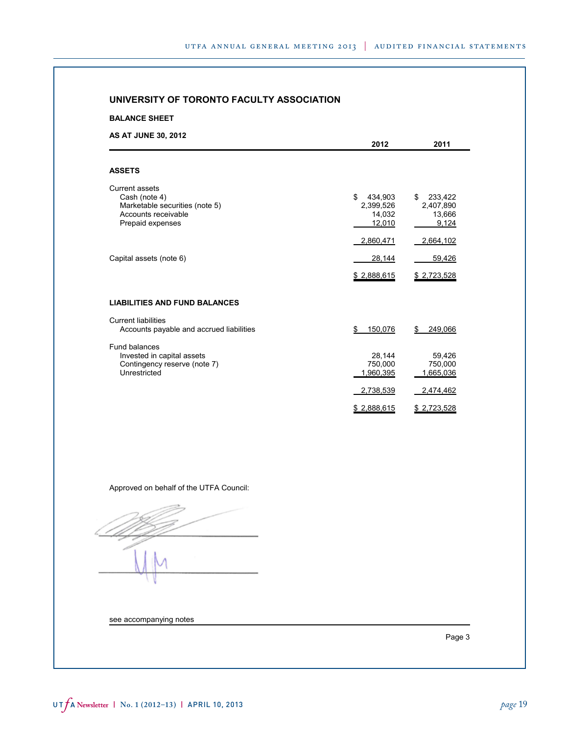| <b>BALANCE SHEET</b>                                                                                                |                                                |                                                         |
|---------------------------------------------------------------------------------------------------------------------|------------------------------------------------|---------------------------------------------------------|
| <b>AS AT JUNE 30, 2012</b>                                                                                          | 2012                                           | 2011                                                    |
| <b>ASSETS</b>                                                                                                       |                                                |                                                         |
| <b>Current assets</b><br>Cash (note 4)<br>Marketable securities (note 5)<br>Accounts receivable<br>Prepaid expenses | \$<br>434,903<br>2,399,526<br>14,032<br>12,010 | $\mathbb{S}$<br>233,422<br>2,407,890<br>13,666<br>9,124 |
| Capital assets (note 6)                                                                                             | 2,860,471<br>28,144                            | 2,664,102<br>59,426                                     |
|                                                                                                                     | \$2,888,615                                    | \$ 2,723,528                                            |
| <b>LIABILITIES AND FUND BALANCES</b>                                                                                |                                                |                                                         |
| <b>Current liabilities</b><br>Accounts payable and accrued liabilities                                              | 150,076<br>\$                                  | 249,066<br>\$                                           |
| Fund balances<br>Invested in capital assets<br>Contingency reserve (note 7)<br>Unrestricted                         | 28,144<br>750,000<br>1,960,395                 | 59,426<br>750,000<br>1,665,036                          |
|                                                                                                                     | 2,738,539                                      | 2,474,462                                               |
|                                                                                                                     | \$2,888,615                                    | <u>\$2,723,528</u>                                      |

Approved on behalf of the UTFA Council:

 $\angle$  ( ) ) ) is the set of  $\angle$ 

see accompanying notes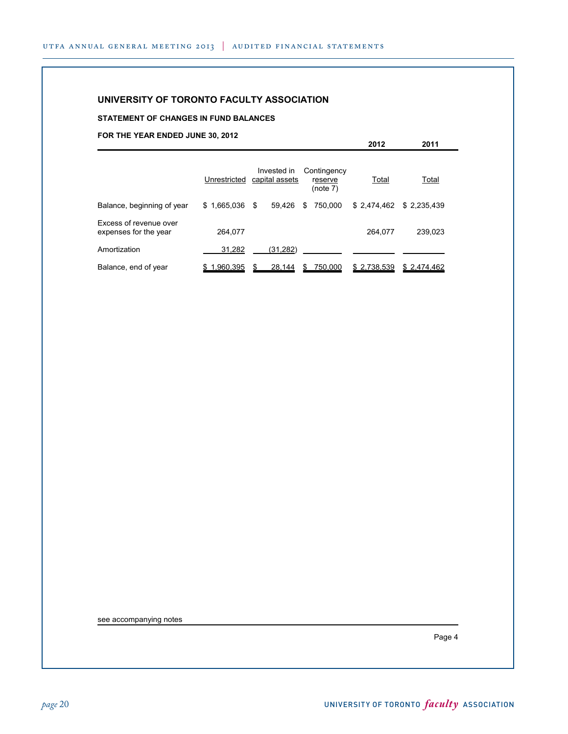#### **STATEMENT OF CHANGES IN FUND BALANCES**

**FOR THE YEAR ENDED JUNE 30, 2012**

|                                                 | Unrestricted    | Invested in<br>capital assets | Contingency<br>reserve<br>(note 7) | Total       | Total       |
|-------------------------------------------------|-----------------|-------------------------------|------------------------------------|-------------|-------------|
| Balance, beginning of year                      | $$1,665,036$ \$ | 59.426                        | 750.000<br>\$                      | \$2,474,462 | \$2,235,439 |
| Excess of revenue over<br>expenses for the year | 264,077         |                               |                                    | 264.077     | 239,023     |
| Amortization                                    | 31,282          | (31, 282)                     |                                    |             |             |
| Balance, end of year                            | 1,960,395       | 28,144                        | 750,000                            | \$2,738,539 | \$2,474,462 |

see accompanying notes

Page 4

**2012 2011**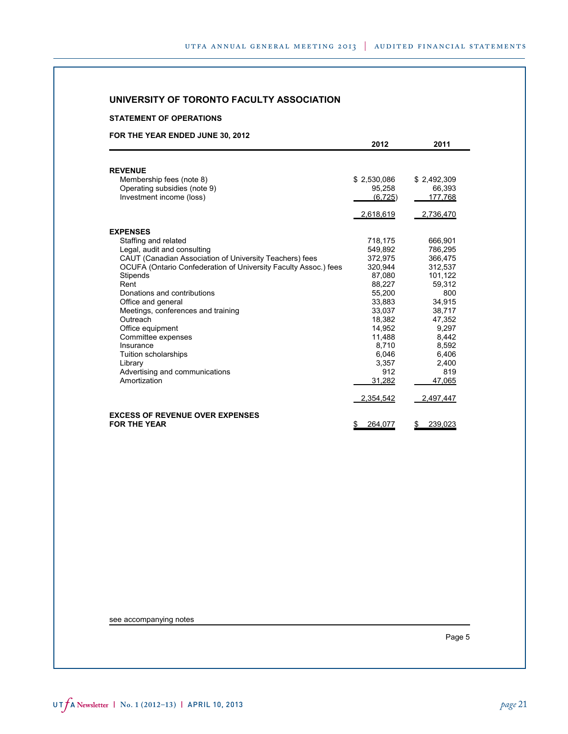#### **STATEMENT OF OPERATIONS**

#### **FOR THE YEAR ENDED JUNE 30, 2012**

|                                                                 | 2012          | 2011          |
|-----------------------------------------------------------------|---------------|---------------|
|                                                                 |               |               |
| <b>REVENUE</b>                                                  |               |               |
| Membership fees (note 8)                                        | \$2,530,086   | \$2,492,309   |
| Operating subsidies (note 9)                                    | 95,258        | 66,393        |
| Investment income (loss)                                        | (6, 725)      | 177,768       |
|                                                                 | 2,618,619     | 2,736,470     |
| <b>EXPENSES</b>                                                 |               |               |
| Staffing and related                                            | 718,175       | 666.901       |
| Legal, audit and consulting                                     | 549.892       | 786,295       |
| CAUT (Canadian Association of University Teachers) fees         | 372,975       | 366,475       |
| OCUFA (Ontario Confederation of University Faculty Assoc.) fees | 320,944       | 312,537       |
| Stipends                                                        | 87,080        | 101,122       |
| Rent                                                            | 88.227        | 59.312        |
| Donations and contributions                                     | 55,200        | 800           |
| Office and general                                              | 33,883        | 34,915        |
| Meetings, conferences and training                              | 33,037        | 38,717        |
| Outreach                                                        | 18.382        | 47,352        |
| Office equipment                                                | 14,952        | 9,297         |
| Committee expenses                                              | 11,488        | 8,442         |
| Insurance                                                       | 8,710         | 8,592         |
| Tuition scholarships                                            | 6.046         | 6,406         |
| Library                                                         | 3,357         | 2.400         |
| Advertising and communications                                  | 912           | 819           |
| Amortization                                                    | 31,282        | 47,065        |
|                                                                 | 2,354,542     | 2,497,447     |
| <b>EXCESS OF REVENUE OVER EXPENSES</b>                          |               |               |
| <b>FOR THE YEAR</b>                                             | 264,077<br>\$ | 239,023<br>\$ |

see accompanying notes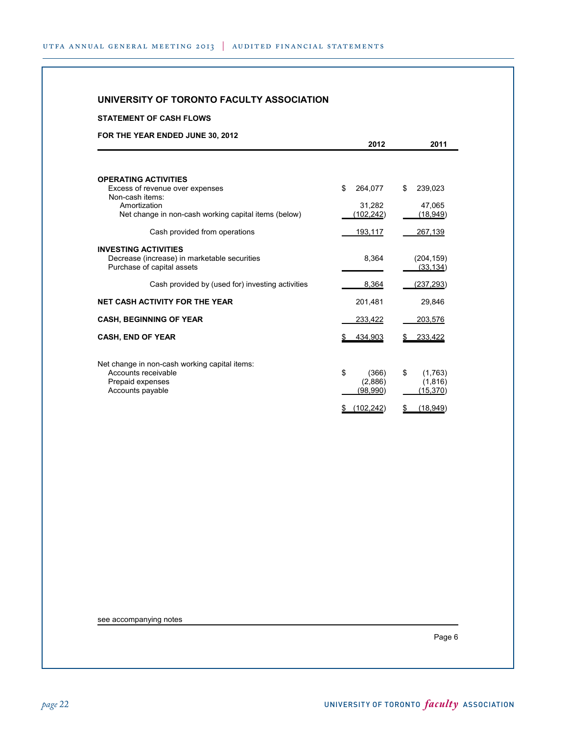#### **STATEMENT OF CASH FLOWS**

#### **FOR THE YEAR ENDED JUNE 30, 2012**

| FOR THE YEAR ENDED JUNE 30, 2012                     |                  |                 |
|------------------------------------------------------|------------------|-----------------|
|                                                      | 2012             | 2011            |
|                                                      |                  |                 |
| <b>OPERATING ACTIVITIES</b>                          |                  |                 |
| Excess of revenue over expenses<br>Non-cash items:   | \$<br>264,077    | \$<br>239,023   |
| Amortization                                         | 31,282           | 47,065          |
| Net change in non-cash working capital items (below) | (102, 242)       | (18, 949)       |
| Cash provided from operations                        | 193,117          | 267,139         |
| <b>INVESTING ACTIVITIES</b>                          |                  |                 |
| Decrease (increase) in marketable securities         | 8,364            | (204, 159)      |
| Purchase of capital assets                           |                  | (33, 134)       |
| Cash provided by (used for) investing activities     | 8,364            | (237, 293)      |
| <b>NET CASH ACTIVITY FOR THE YEAR</b>                | 201,481          | 29,846          |
| <b>CASH, BEGINNING OF YEAR</b>                       | 233,422          | 203,576         |
| <b>CASH, END OF YEAR</b>                             | 434,903          | 233,422         |
| Net change in non-cash working capital items:        |                  |                 |
| Accounts receivable                                  | \$<br>(366)      | \$<br>(1,763)   |
| Prepaid expenses                                     | (2,886)          | (1,816)         |
| Accounts payable                                     | (98, 990)        | (15, 370)       |
|                                                      |                  |                 |
|                                                      | (102, 242)<br>\$ | (18, 949)<br>\$ |

see accompanying notes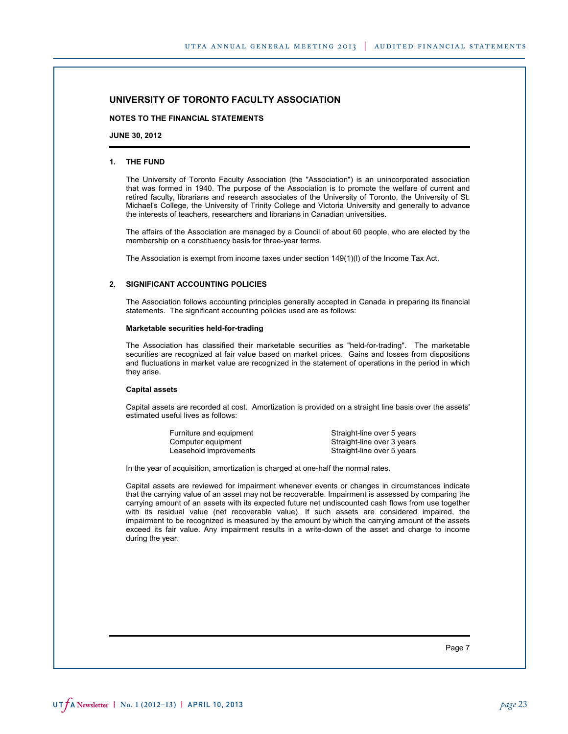**NOTES TO THE FINANCIAL STATEMENTS**

**JUNE 30, 2012**

#### **1. THE FUND**

The University of Toronto Faculty Association (the "Association") is an unincorporated association that was formed in 1940. The purpose of the Association is to promote the welfare of current and retired faculty, librarians and research associates of the University of Toronto, the University of St. Michael's College, the University of Trinity College and Victoria University and generally to advance the interests of teachers, researchers and librarians in Canadian universities.

The affairs of the Association are managed by a Council of about 60 people, who are elected by the membership on a constituency basis for three-year terms.

The Association is exempt from income taxes under section 149(1)(l) of the Income Tax Act.

#### **2. SIGNIFICANT ACCOUNTING POLICIES**

The Association follows accounting principles generally accepted in Canada in preparing its financial statements. The significant accounting policies used are as follows:

#### **Marketable securities held-for-trading**

The Association has classified their marketable securities as "held-for-trading". The marketable securities are recognized at fair value based on market prices. Gains and losses from dispositions and fluctuations in market value are recognized in the statement of operations in the period in which they arise.

#### **Capital assets**

Capital assets are recorded at cost. Amortization is provided on a straight line basis over the assets' estimated useful lives as follows:

| Furniture and equipment | Straight-line over 5 years |
|-------------------------|----------------------------|
| Computer equipment      | Straight-line over 3 years |
| Leasehold improvements  | Straight-line over 5 years |

In the year of acquisition, amortization is charged at one-half the normal rates.

Capital assets are reviewed for impairment whenever events or changes in circumstances indicate that the carrying value of an asset may not be recoverable. Impairment is assessed by comparing the carrying amount of an assets with its expected future net undiscounted cash flows from use together with its residual value (net recoverable value). If such assets are considered impaired, the impairment to be recognized is measured by the amount by which the carrying amount of the assets exceed its fair value. Any impairment results in a write-down of the asset and charge to income during the year.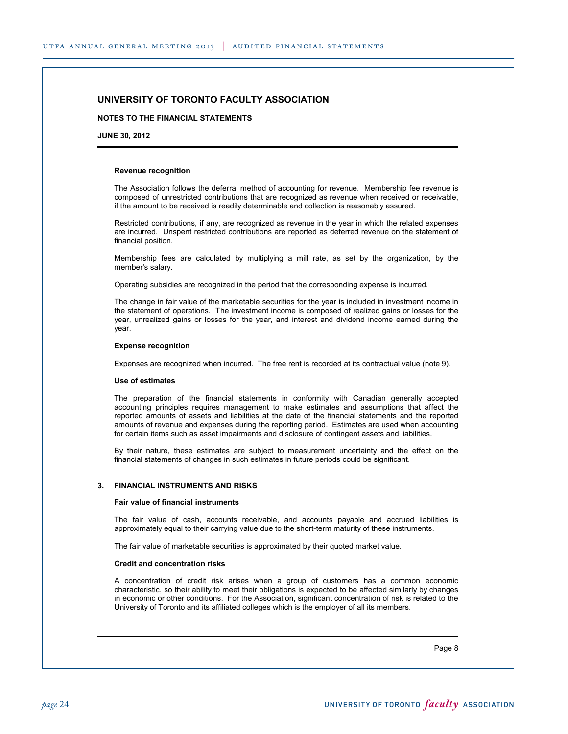#### **NOTES TO THE FINANCIAL STATEMENTS**

**JUNE 30, 2012**

#### **Revenue recognition**

The Association follows the deferral method of accounting for revenue. Membership fee revenue is composed of unrestricted contributions that are recognized as revenue when received or receivable, if the amount to be received is readily determinable and collection is reasonably assured.

Restricted contributions, if any, are recognized as revenue in the year in which the related expenses are incurred. Unspent restricted contributions are reported as deferred revenue on the statement of financial position.

Membership fees are calculated by multiplying a mill rate, as set by the organization, by the member's salary.

Operating subsidies are recognized in the period that the corresponding expense is incurred.

The change in fair value of the marketable securities for the year is included in investment income in the statement of operations. The investment income is composed of realized gains or losses for the year, unrealized gains or losses for the year, and interest and dividend income earned during the year.

#### **Expense recognition**

Expenses are recognized when incurred. The free rent is recorded at its contractual value (note 9).

#### **Use of estimates**

The preparation of the financial statements in conformity with Canadian generally accepted accounting principles requires management to make estimates and assumptions that affect the reported amounts of assets and liabilities at the date of the financial statements and the reported amounts of revenue and expenses during the reporting period. Estimates are used when accounting for certain items such as asset impairments and disclosure of contingent assets and liabilities.

By their nature, these estimates are subject to measurement uncertainty and the effect on the financial statements of changes in such estimates in future periods could be significant.

#### **3. FINANCIAL INSTRUMENTS AND RISKS**

#### **Fair value of financial instruments**

The fair value of cash, accounts receivable, and accounts payable and accrued liabilities is approximately equal to their carrying value due to the short-term maturity of these instruments.

The fair value of marketable securities is approximated by their quoted market value.

#### **Credit and concentration risks**

A concentration of credit risk arises when a group of customers has a common economic characteristic, so their ability to meet their obligations is expected to be affected similarly by changes in economic or other conditions. For the Association, significant concentration of risk is related to the University of Toronto and its affiliated colleges which is the employer of all its members.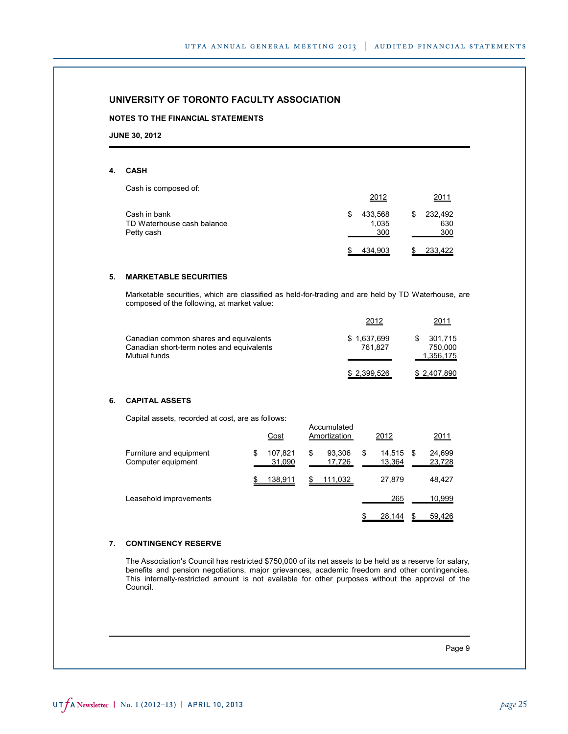#### **NOTES TO THE FINANCIAL STATEMENTS**

**JUNE 30, 2012**

#### **4. CASH**

Cash is composed of:

|                                          | 2012         | 2011       |
|------------------------------------------|--------------|------------|
| Cash in bank                             | 433,568<br>S | 232,492    |
| TD Waterhouse cash balance<br>Petty cash | 1.035<br>300 | 630<br>300 |
|                                          | 434,903      | 233,422    |

#### **5. MARKETABLE SECURITIES**

Marketable securities, which are classified as held-for-trading and are held by TD Waterhouse, are composed of the following, at market value:

|                                                                                                     | 2012                   | 2011                            |
|-----------------------------------------------------------------------------------------------------|------------------------|---------------------------------|
| Canadian common shares and equivalents<br>Canadian short-term notes and equivalents<br>Mutual funds | \$1,637,699<br>761.827 | 301.715<br>750.000<br>1,356,175 |
|                                                                                                     | \$2,399,526            | \$2,407,890                     |

#### **6. CAPITAL ASSETS**

Capital assets, recorded at cost, are as follows:

|                                               | <u>Cost</u>             | Accumulated<br>Amortization | 2012                   |     | 2011             |
|-----------------------------------------------|-------------------------|-----------------------------|------------------------|-----|------------------|
| Furniture and equipment<br>Computer equipment | \$<br>107,821<br>31,090 | \$<br>93,306<br>17,726      | \$<br>14.515<br>13,364 | \$. | 24,699<br>23,728 |
|                                               | 138,911                 | 111,032                     | 27,879                 |     | 48,427           |
| Leasehold improvements                        |                         |                             | 265                    |     | 10,999           |
|                                               |                         |                             | 28,144                 |     | 59,426           |

#### **7. CONTINGENCY RESERVE**

The Association's Council has restricted \$750,000 of its net assets to be held as a reserve for salary, benefits and pension negotiations, major grievances, academic freedom and other contingencies. This internally-restricted amount is not available for other purposes without the approval of the Council.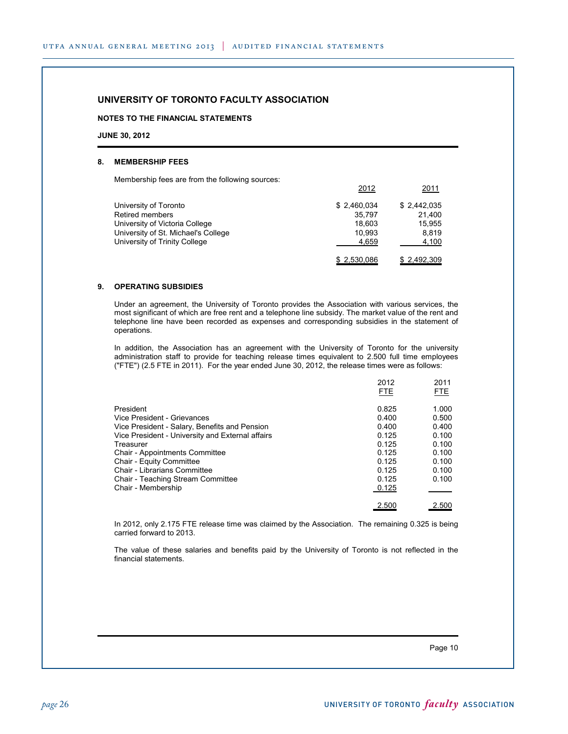#### **NOTES TO THE FINANCIAL STATEMENTS**

#### **JUNE 30, 2012**

#### **8. MEMBERSHIP FEES**

Membership fees are from the following sources:

| University of Toronto               | \$2,460,034 | \$2,442,035 |
|-------------------------------------|-------------|-------------|
| <b>Retired members</b>              | 35.797      | 21.400      |
| University of Victoria College      | 18.603      | 15,955      |
| University of St. Michael's College | 10.993      | 8.819       |
| University of Trinity College       | 4.659       | 4,100       |
|                                     | \$2,530,086 | \$2,492,309 |

#### **9. OPERATING SUBSIDIES**

Under an agreement, the University of Toronto provides the Association with various services, the most significant of which are free rent and a telephone line subsidy. The market value of the rent and telephone line have been recorded as expenses and corresponding subsidies in the statement of operations.

In addition, the Association has an agreement with the University of Toronto for the university administration staff to provide for teaching release times equivalent to 2.500 full time employees ("FTE") (2.5 FTE in 2011). For the year ended June 30, 2012, the release times were as follows:

|                                                                                                                                                                                                                                                                                                      | 2012<br><b>FTE</b>                                                            | 2011<br><b>FTE</b>                                                            |
|------------------------------------------------------------------------------------------------------------------------------------------------------------------------------------------------------------------------------------------------------------------------------------------------------|-------------------------------------------------------------------------------|-------------------------------------------------------------------------------|
| President<br>Vice President - Grievances<br>Vice President - Salary, Benefits and Pension<br>Vice President - University and External affairs<br>Treasurer<br><b>Chair - Appointments Committee</b><br>Chair - Equity Committee<br>Chair - Librarians Committee<br>Chair - Teaching Stream Committee | 0.825<br>0.400<br>0.400<br>0.125<br>0.125<br>0.125<br>0.125<br>0.125<br>0.125 | 1.000<br>0.500<br>0.400<br>0.100<br>0.100<br>0.100<br>0.100<br>0.100<br>0.100 |
| Chair - Membership                                                                                                                                                                                                                                                                                   | 0.125                                                                         |                                                                               |
|                                                                                                                                                                                                                                                                                                      | 2.500                                                                         | 2.500                                                                         |

In 2012, only 2.175 FTE release time was claimed by the Association. The remaining 0.325 is being carried forward to 2013.

The value of these salaries and benefits paid by the University of Toronto is not reflected in the financial statements.

Page 10

2012 2011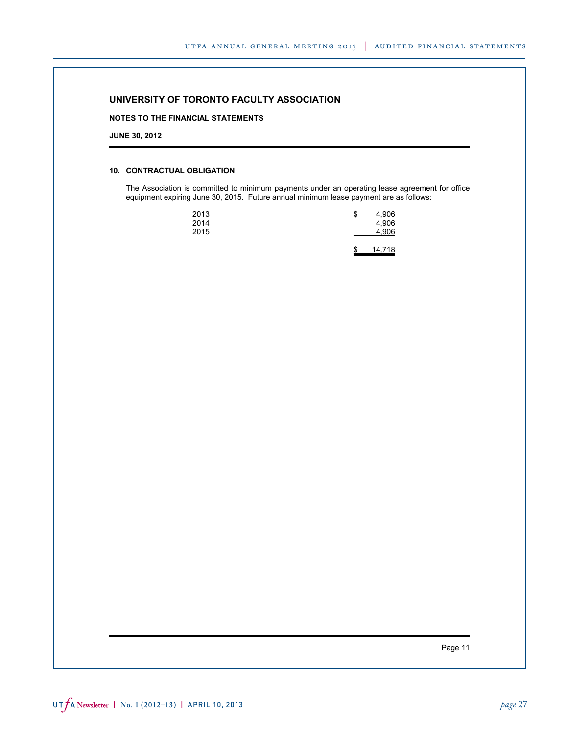14,718

#### **UNIVERSITY OF TORONTO FACULTY ASSOCIATION**

**NOTES TO THE FINANCIAL STATEMENTS**

**JUNE 30, 2012**

#### **10. CONTRACTUAL OBLIGATION**

The Association is committed to minimum payments under an operating lease agreement for office equipment expiring June 30, 2015. Future annual minimum lease payment are as follows:

| 2013 |  | S | 4,906 |
|------|--|---|-------|
| 2014 |  |   | 4,906 |
| 2015 |  |   | 4.906 |
|      |  |   |       |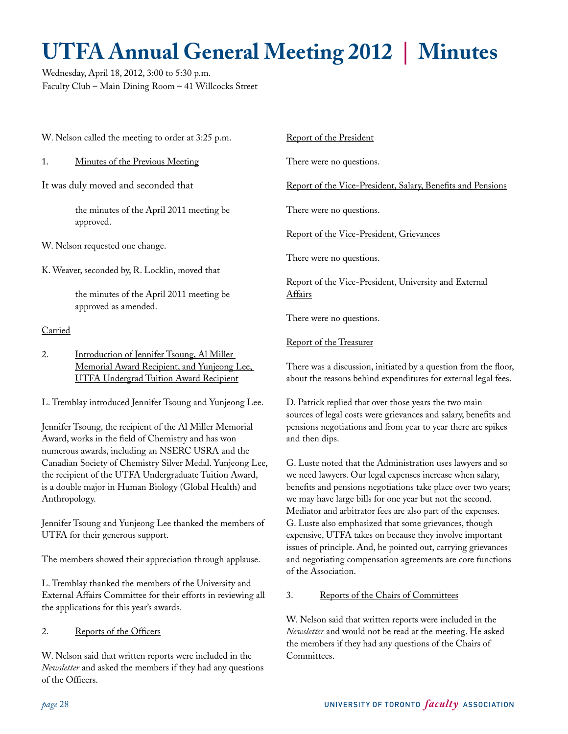# **UTFA Annual General Meeting 2012 | Minutes**

Wednesday, April 18, 2012, 3:00 to 5:30 p.m. Faculty Club – Main Dining Room – 41 Willcocks Street

W. Nelson called the meeting to order at 3:25 p.m.

- 1. Minutes of the Previous Meeting
- It was duly moved and seconded that

the minutes of the April 2011 meeting be approved.

W. Nelson requested one change.

K. Weaver, seconded by, R. Locklin, moved that

the minutes of the April 2011 meeting be approved as amended.

### **Carried**

2. Introduction of Jennifer Tsoung, Al Miller Memorial Award Recipient, and Yunjeong Lee, UTFA Undergrad Tuition Award Recipient

L. Tremblay introduced Jennifer Tsoung and Yunjeong Lee.

Jennifer Tsoung, the recipient of the Al Miller Memorial Award, works in the field of Chemistry and has won numerous awards, including an NSERC USRA and the Canadian Society of Chemistry Silver Medal. Yunjeong Lee, the recipient of the UTFA Undergraduate Tuition Award, is a double major in Human Biology (Global Health) and Anthropology.

Jennifer Tsoung and Yunjeong Lee thanked the members of UTFA for their generous support.

The members showed their appreciation through applause.

L. Tremblay thanked the members of the University and External Affairs Committee for their efforts in reviewing all the applications for this year's awards.

### 2. Reports of the Officers

W. Nelson said that written reports were included in the *Newsletter* and asked the members if they had any questions of the Officers.

Report of the President There were no questions. Report of the Vice-President, Salary, Benefits and Pensions There were no questions. Report of the Vice-President, Grievances There were no questions. Report of the Vice-President, University and External Affairs There were no questions. Report of the Treasurer There was a discussion, initiated by a question from the floor,

about the reasons behind expenditures for external legal fees.

D. Patrick replied that over those years the two main sources of legal costs were grievances and salary, benefits and pensions negotiations and from year to year there are spikes and then dips.

G. Luste noted that the Administration uses lawyers and so we need lawyers. Our legal expenses increase when salary, benefits and pensions negotiations take place over two years; we may have large bills for one year but not the second. Mediator and arbitrator fees are also part of the expenses. G. Luste also emphasized that some grievances, though expensive, UTFA takes on because they involve important issues of principle. And, he pointed out, carrying grievances and negotiating compensation agreements are core functions of the Association.

### 3. Reports of the Chairs of Committees

W. Nelson said that written reports were included in the *Newsletter* and would not be read at the meeting. He asked the members if they had any questions of the Chairs of Committees.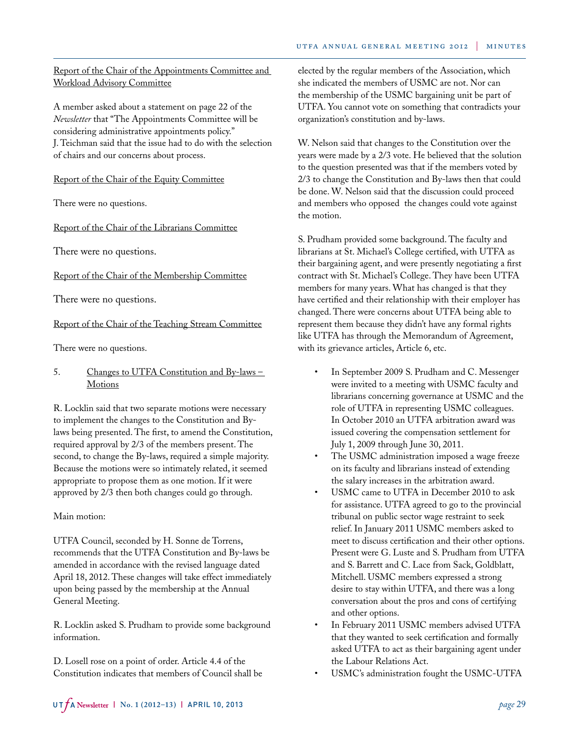### Report of the Chair of the Appointments Committee and Workload Advisory Committee

A member asked about a statement on page 22 of the *Newsletter* that "The Appointments Committee will be considering administrative appointments policy." J. Teichman said that the issue had to do with the selection of chairs and our concerns about process.

### Report of the Chair of the Equity Committee

There were no questions.

Report of the Chair of the Librarians Committee

There were no questions.

Report of the Chair of the Membership Committee

There were no questions.

Report of the Chair of the Teaching Stream Committee

There were no questions.

5. Changes to UTFA Constitution and By-laws -Motions

R. Locklin said that two separate motions were necessary to implement the changes to the Constitution and Bylaws being presented. The first, to amend the Constitution, required approval by 2/3 of the members present. The second, to change the By-laws, required a simple majority. Because the motions were so intimately related, it seemed appropriate to propose them as one motion. If it were approved by 2/3 then both changes could go through.

### Main motion:

UTFA Council, seconded by H. Sonne de Torrens, recommends that the UTFA Constitution and By-laws be amended in accordance with the revised language dated April 18, 2012. These changes will take effect immediately upon being passed by the membership at the Annual General Meeting.

R. Locklin asked S. Prudham to provide some background information.

D. Losell rose on a point of order. Article 4.4 of the Constitution indicates that members of Council shall be elected by the regular members of the Association, which she indicated the members of USMC are not. Nor can the membership of the USMC bargaining unit be part of UTFA. You cannot vote on something that contradicts your organization's constitution and by-laws.

W. Nelson said that changes to the Constitution over the years were made by a 2/3 vote. He believed that the solution to the question presented was that if the members voted by 2/3 to change the Constitution and By-laws then that could be done. W. Nelson said that the discussion could proceed and members who opposed the changes could vote against the motion.

S. Prudham provided some background. The faculty and librarians at St. Michael's College certified, with UTFA as their bargaining agent, and were presently negotiating a first contract with St. Michael's College. They have been UTFA members for many years. What has changed is that they have certified and their relationship with their employer has changed. There were concerns about UTFA being able to represent them because they didn't have any formal rights like UTFA has through the Memorandum of Agreement, with its grievance articles, Article 6, etc.

- In September 2009 S. Prudham and C. Messenger were invited to a meeting with USMC faculty and librarians concerning governance at USMC and the role of UTFA in representing USMC colleagues. In October 2010 an UTFA arbitration award was issued covering the compensation settlement for July 1, 2009 through June 30, 2011.
- The USMC administration imposed a wage freeze on its faculty and librarians instead of extending the salary increases in the arbitration award.
- USMC came to UTFA in December 2010 to ask for assistance. UTFA agreed to go to the provincial tribunal on public sector wage restraint to seek relief. In January 2011 USMC members asked to meet to discuss certification and their other options. Present were G. Luste and S. Prudham from UTFA and S. Barrett and C. Lace from Sack, Goldblatt, Mitchell. USMC members expressed a strong desire to stay within UTFA, and there was a long conversation about the pros and cons of certifying and other options.
- In February 2011 USMC members advised UTFA that they wanted to seek certification and formally asked UTFA to act as their bargaining agent under the Labour Relations Act.
- USMC's administration fought the USMC-UTFA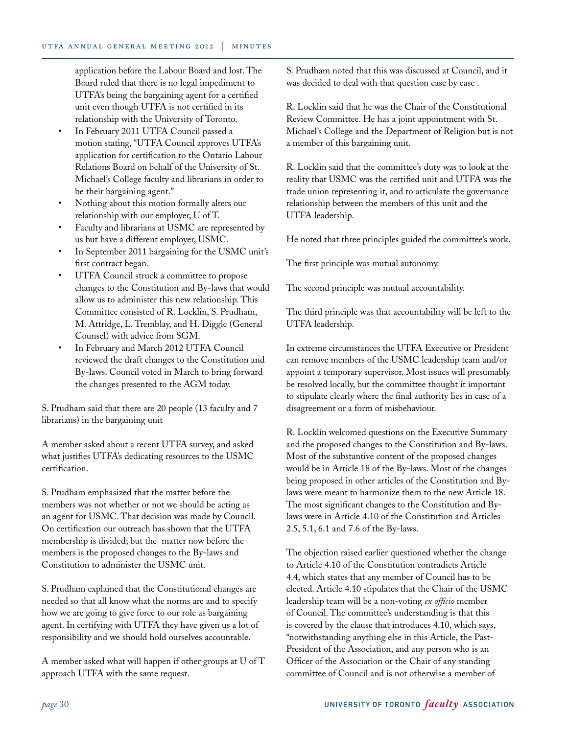application before the Labour Board and lost. The Board ruled that there is no legal impediment to UTFA's being the bargaining agent for a certified unit even though UTFA is not certified in its relationship with the University of Toronto.

- In February 2011 UTFA Council passed a motion stating, "UTFA Council approves UTFA's application for certification to the Ontario Labour Relations Board on behalf of the University of St. Michael's College faculty and librarians in order to be their bargaining agent."
- Nothing about this motion formally alters our relationship with our employer, U of T.
- Faculty and librarians at USMC are represented by us but have a different employer, USMC.
- In September 2011 bargaining for the USMC unit's first contract began.
- UTFA Council struck a committee to propose changes to the Constitution and By-laws that would allow us to administer this new relationship. This Committee consisted of R. Locklin, S. Prudham, M. Attridge, L. Tremblay, and H. Diggle (General Counsel) with advice from SGM.
- In February and March 2012 UTFA Council reviewed the draft changes to the Constitution and By-laws. Council voted in March to bring forward the changes presented to the AGM today.

S. Prudham said that there are 20 people (13 faculty and 7 librarians) in the bargaining unit

A member asked about a recent UTFA survey, and asked what justifies UTFA's dedicating resources to the USMC certification.

S. Prudham emphasized that the matter before the members was not whether or not we should be acting as an agent for USMC. That decision was made by Council. On certification our outreach has shown that the UTFA membership is divided; but the matter now before the members is the proposed changes to the By-laws and Constitution to administer the USMC unit.

S. Prudham explained that the Constitutional changes are needed so that all know what the norms are and to specify how we are going to give force to our role as bargaining agent. In certifying with UTFA they have given us a lot of responsibility and we should hold ourselves accountable.

A member asked what will happen if other groups at U of T approach UTFA with the same request.

S. Prudham noted that this was discussed at Council, and it was decided to deal with that question case by case .

R. Locklin said that he was the Chair of the Constitutional Review Committee. He has a joint appointment with St. Michael's College and the Department of Religion but is not a member of this bargaining unit.

R. Locklin said that the committee's duty was to look at the reality that USMC was the certified unit and UTFA was the trade union representing it, and to articulate the governance relationship between the members of this unit and the UTFA leadership.

He noted that three principles guided the committee's work.

The first principle was mutual autonomy.

The second principle was mutual accountability.

The third principle was that accountability will be left to the UTFA leadership.

In extreme circumstances the UTFA Executive or President can remove members of the USMC leadership team and/or appoint a temporary supervisor. Most issues will presumably be resolved locally, but the committee thought it important to stipulate clearly where the final authority lies in case of a disagreement or a form of misbehaviour.

R. Locklin welcomed questions on the Executive Summary and the proposed changes to the Constitution and By-laws. Most of the substantive content of the proposed changes would be in Article 18 of the By-laws. Most of the changes being proposed in other articles of the Constitution and Bylaws were meant to harmonize them to the new Article 18. The most significant changes to the Constitution and Bylaws were in Article 4.10 of the Constitution and Articles 2.5, 5.1, 6.1 and 7.6 of the By-laws.

The objection raised earlier questioned whether the change to Article 4.10 of the Constitution contradicts Article 4.4, which states that any member of Council has to be elected. Article 4.10 stipulates that the Chair of the USMC leadership team will be a non-voting *ex officio* member of Council. The committee's understanding is that this is covered by the clause that introduces 4.10, which says, "notwithstanding anything else in this Article, the Past-President of the Association, and any person who is an Officer of the Association or the Chair of any standing committee of Council and is not otherwise a member of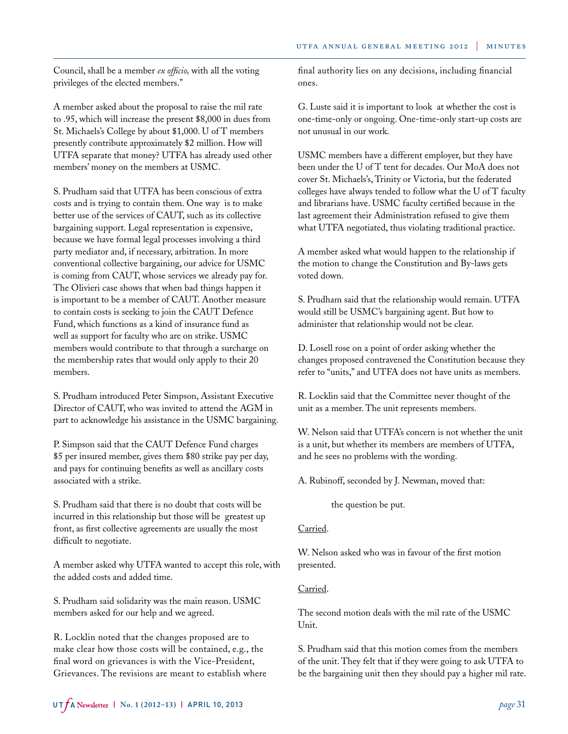Council, shall be a member *ex officio,* with all the voting privileges of the elected members."

A member asked about the proposal to raise the mil rate to .95, which will increase the present \$8,000 in dues from St. Michaels's College by about \$1,000. U of T members presently contribute approximately \$2 million. How will UTFA separate that money? UTFA has already used other members' money on the members at USMC.

S. Prudham said that UTFA has been conscious of extra costs and is trying to contain them. One way is to make better use of the services of CAUT, such as its collective bargaining support. Legal representation is expensive, because we have formal legal processes involving a third party mediator and, if necessary, arbitration. In more conventional collective bargaining, our advice for USMC is coming from CAUT, whose services we already pay for. The Olivieri case shows that when bad things happen it is important to be a member of CAUT. Another measure to contain costs is seeking to join the CAUT Defence Fund, which functions as a kind of insurance fund as well as support for faculty who are on strike. USMC members would contribute to that through a surcharge on the membership rates that would only apply to their 20 members.

S. Prudham introduced Peter Simpson, Assistant Executive Director of CAUT, who was invited to attend the AGM in part to acknowledge his assistance in the USMC bargaining.

P. Simpson said that the CAUT Defence Fund charges \$5 per insured member, gives them \$80 strike pay per day, and pays for continuing benefits as well as ancillary costs associated with a strike.

S. Prudham said that there is no doubt that costs will be incurred in this relationship but those will be greatest up front, as first collective agreements are usually the most difficult to negotiate.

A member asked why UTFA wanted to accept this role, with the added costs and added time.

S. Prudham said solidarity was the main reason. USMC members asked for our help and we agreed.

R. Locklin noted that the changes proposed are to make clear how those costs will be contained, e.g., the final word on grievances is with the Vice-President, Grievances. The revisions are meant to establish where final authority lies on any decisions, including financial ones.

G. Luste said it is important to look at whether the cost is one-time-only or ongoing. One-time-only start-up costs are not unusual in our work.

USMC members have a different employer, but they have been under the U of T tent for decades. Our MoA does not cover St. Michaels's, Trinity or Victoria, but the federated colleges have always tended to follow what the U of T faculty and librarians have. USMC faculty certified because in the last agreement their Administration refused to give them what UTFA negotiated, thus violating traditional practice.

A member asked what would happen to the relationship if the motion to change the Constitution and By-laws gets voted down.

S. Prudham said that the relationship would remain. UTFA would still be USMC's bargaining agent. But how to administer that relationship would not be clear.

D. Losell rose on a point of order asking whether the changes proposed contravened the Constitution because they refer to "units," and UTFA does not have units as members.

R. Locklin said that the Committee never thought of the unit as a member. The unit represents members.

W. Nelson said that UTFA's concern is not whether the unit is a unit, but whether its members are members of UTFA, and he sees no problems with the wording.

A. Rubinoff, seconded by J. Newman, moved that:

the question be put.

#### Carried.

W. Nelson asked who was in favour of the first motion presented.

#### Carried.

The second motion deals with the mil rate of the USMC Unit.

S. Prudham said that this motion comes from the members of the unit. They felt that if they were going to ask UTFA to be the bargaining unit then they should pay a higher mil rate.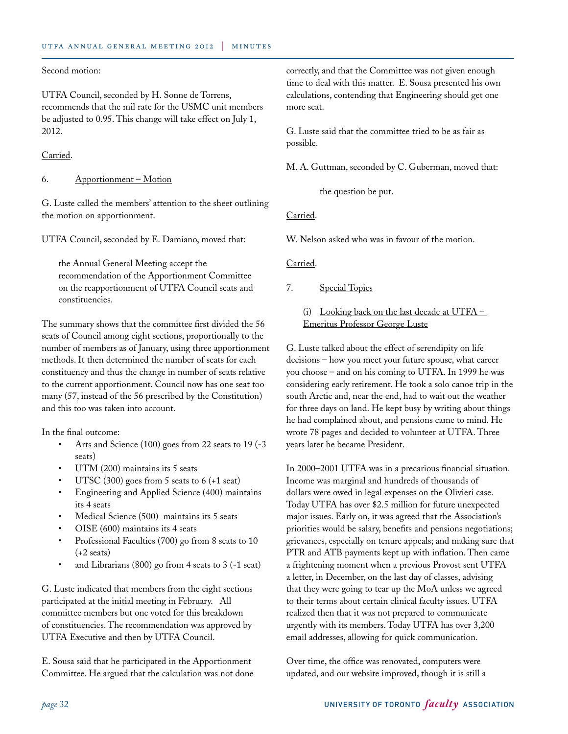Second motion:

UTFA Council, seconded by H. Sonne de Torrens, recommends that the mil rate for the USMC unit members be adjusted to 0.95. This change will take effect on July 1, 2012.

Carried.

6. Apportionment – Motion

G. Luste called the members' attention to the sheet outlining the motion on apportionment.

UTFA Council, seconded by E. Damiano, moved that:

the Annual General Meeting accept the recommendation of the Apportionment Committee on the reapportionment of UTFA Council seats and constituencies.

The summary shows that the committee first divided the 56 seats of Council among eight sections, proportionally to the number of members as of January, using three apportionment methods. It then determined the number of seats for each constituency and thus the change in number of seats relative to the current apportionment. Council now has one seat too many (57, instead of the 56 prescribed by the Constitution) and this too was taken into account.

In the final outcome:

- Arts and Science (100) goes from 22 seats to 19 (-3) seats)
- UTM (200) maintains its 5 seats
- UTSC (300) goes from 5 seats to 6 (+1 seat)
- Engineering and Applied Science (400) maintains its 4 seats
- Medical Science (500) maintains its 5 seats
- OISE (600) maintains its 4 seats
- Professional Faculties (700) go from 8 seats to 10 (+2 seats)
- and Librarians (800) go from 4 seats to 3 (-1 seat)

G. Luste indicated that members from the eight sections participated at the initial meeting in February. All committee members but one voted for this breakdown of constituencies. The recommendation was approved by UTFA Executive and then by UTFA Council.

E. Sousa said that he participated in the Apportionment Committee. He argued that the calculation was not done correctly, and that the Committee was not given enough time to deal with this matter. E. Sousa presented his own calculations, contending that Engineering should get one more seat.

G. Luste said that the committee tried to be as fair as possible.

M. A. Guttman, seconded by C. Guberman, moved that:

the question be put.

Carried.

W. Nelson asked who was in favour of the motion.

Carried.

- 7. Special Topics
	- (i) Looking back on the last decade at  $UTFA -$ Emeritus Professor George Luste

G. Luste talked about the effect of serendipity on life decisions – how you meet your future spouse, what career you choose – and on his coming to UTFA. In 1999 he was considering early retirement. He took a solo canoe trip in the south Arctic and, near the end, had to wait out the weather for three days on land. He kept busy by writing about things he had complained about, and pensions came to mind. He wrote 78 pages and decided to volunteer at UTFA. Three years later he became President.

In 2000–2001 UTFA was in a precarious financial situation. Income was marginal and hundreds of thousands of dollars were owed in legal expenses on the Olivieri case. Today UTFA has over \$2.5 million for future unexpected major issues. Early on, it was agreed that the Association's priorities would be salary, benefits and pensions negotiations; grievances, especially on tenure appeals; and making sure that PTR and ATB payments kept up with inflation. Then came a frightening moment when a previous Provost sent UTFA a letter, in December, on the last day of classes, advising that they were going to tear up the MoA unless we agreed to their terms about certain clinical faculty issues. UTFA realized then that it was not prepared to communicate urgently with its members. Today UTFA has over 3,200 email addresses, allowing for quick communication.

Over time, the office was renovated, computers were updated, and our website improved, though it is still a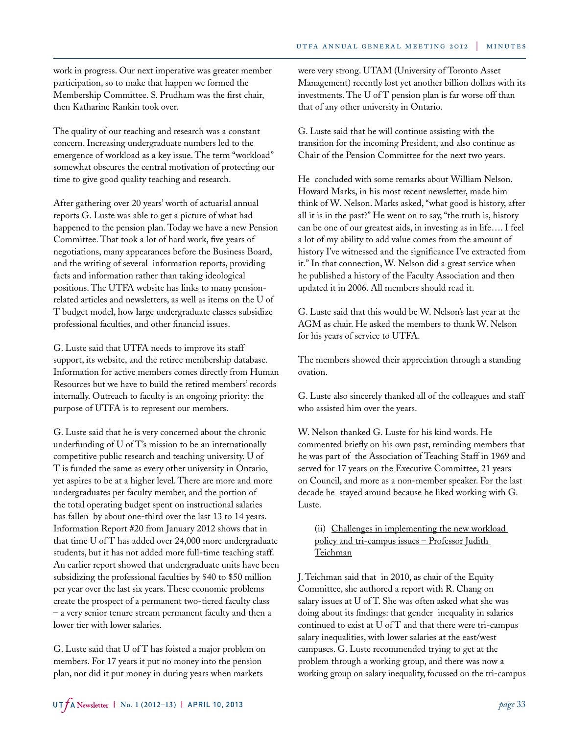work in progress. Our next imperative was greater member participation, so to make that happen we formed the Membership Committee. S. Prudham was the first chair, then Katharine Rankin took over.

The quality of our teaching and research was a constant concern. Increasing undergraduate numbers led to the emergence of workload as a key issue. The term "workload" somewhat obscures the central motivation of protecting our time to give good quality teaching and research.

After gathering over 20 years' worth of actuarial annual reports G. Luste was able to get a picture of what had happened to the pension plan. Today we have a new Pension Committee. That took a lot of hard work, five years of negotiations, many appearances before the Business Board, and the writing of several information reports, providing facts and information rather than taking ideological positions. The UTFA website has links to many pensionrelated articles and newsletters, as well as items on the U of T budget model, how large undergraduate classes subsidize professional faculties, and other financial issues.

G. Luste said that UTFA needs to improve its staff support, its website, and the retiree membership database. Information for active members comes directly from Human Resources but we have to build the retired members' records internally. Outreach to faculty is an ongoing priority: the purpose of UTFA is to represent our members.

G. Luste said that he is very concerned about the chronic underfunding of U of T's mission to be an internationally competitive public research and teaching university. U of T is funded the same as every other university in Ontario, yet aspires to be at a higher level. There are more and more undergraduates per faculty member, and the portion of the total operating budget spent on instructional salaries has fallen by about one-third over the last 13 to 14 years. Information Report #20 from January 2012 shows that in that time U of T has added over 24,000 more undergraduate students, but it has not added more full-time teaching staff. An earlier report showed that undergraduate units have been subsidizing the professional faculties by \$40 to \$50 million per year over the last six years. These economic problems create the prospect of a permanent two-tiered faculty class – a very senior tenure stream permanent faculty and then a lower tier with lower salaries.

G. Luste said that U of T has foisted a major problem on members. For 17 years it put no money into the pension plan, nor did it put money in during years when markets

were very strong. UTAM (University of Toronto Asset Management) recently lost yet another billion dollars with its investments. The U of T pension plan is far worse off than that of any other university in Ontario.

G. Luste said that he will continue assisting with the transition for the incoming President, and also continue as Chair of the Pension Committee for the next two years.

He concluded with some remarks about William Nelson. Howard Marks, in his most recent newsletter, made him think of W. Nelson. Marks asked, "what good is history, after all it is in the past?" He went on to say, "the truth is, history can be one of our greatest aids, in investing as in life…. I feel a lot of my ability to add value comes from the amount of history I've witnessed and the significance I've extracted from it." In that connection, W. Nelson did a great service when he published a history of the Faculty Association and then updated it in 2006. All members should read it.

G. Luste said that this would be W. Nelson's last year at the AGM as chair. He asked the members to thank W. Nelson for his years of service to UTFA.

The members showed their appreciation through a standing ovation.

G. Luste also sincerely thanked all of the colleagues and staff who assisted him over the years.

W. Nelson thanked G. Luste for his kind words. He commented briefly on his own past, reminding members that he was part of the Association of Teaching Staff in 1969 and served for 17 years on the Executive Committee, 21 years on Council, and more as a non-member speaker. For the last decade he stayed around because he liked working with G. Luste.

### (ii) Challenges in implementing the new workload policy and tri-campus issues – Professor Judith Teichman

J. Teichman said that in 2010, as chair of the Equity Committee, she authored a report with R. Chang on salary issues at U of T. She was often asked what she was doing about its findings: that gender inequality in salaries continued to exist at  $U$  of  $T$  and that there were tri-campus salary inequalities, with lower salaries at the east/west campuses. G. Luste recommended trying to get at the problem through a working group, and there was now a working group on salary inequality, focussed on the tri-campus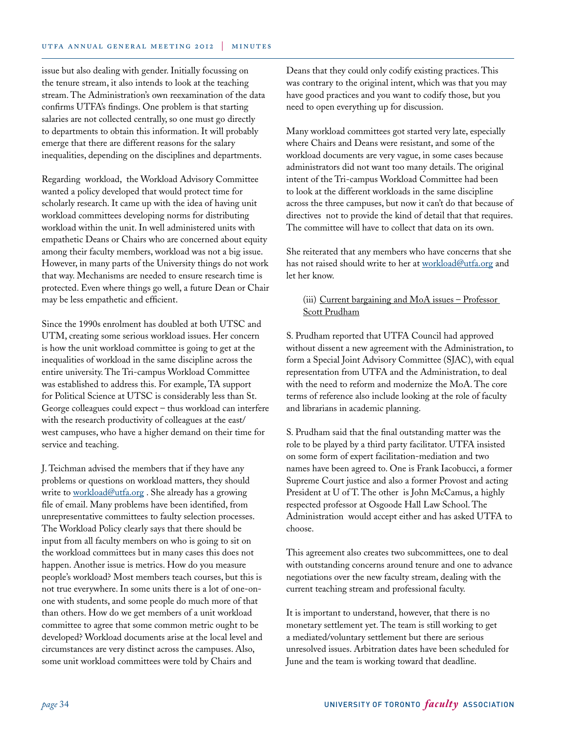issue but also dealing with gender. Initially focussing on the tenure stream, it also intends to look at the teaching stream. The Administration's own reexamination of the data confirms UTFA's findings. One problem is that starting salaries are not collected centrally, so one must go directly to departments to obtain this information. It will probably emerge that there are different reasons for the salary inequalities, depending on the disciplines and departments.

Regarding workload, the Workload Advisory Committee wanted a policy developed that would protect time for scholarly research. It came up with the idea of having unit workload committees developing norms for distributing workload within the unit. In well administered units with empathetic Deans or Chairs who are concerned about equity among their faculty members, workload was not a big issue. However, in many parts of the University things do not work that way. Mechanisms are needed to ensure research time is protected. Even where things go well, a future Dean or Chair may be less empathetic and efficient.

Since the 1990s enrolment has doubled at both UTSC and UTM, creating some serious workload issues. Her concern is how the unit workload committee is going to get at the inequalities of workload in the same discipline across the entire university. The Tri-campus Workload Committee was established to address this. For example, TA support for Political Science at UTSC is considerably less than St. George colleagues could expect – thus workload can interfere with the research productivity of colleagues at the east/ west campuses, who have a higher demand on their time for service and teaching.

J. Teichman advised the members that if they have any problems or questions on workload matters, they should write to [workload@utfa.org](mailto:workload@utfa.org) . She already has a growing file of email. Many problems have been identified, from unrepresentative committees to faulty selection processes. The Workload Policy clearly says that there should be input from all faculty members on who is going to sit on the workload committees but in many cases this does not happen. Another issue is metrics. How do you measure people's workload? Most members teach courses, but this is not true everywhere. In some units there is a lot of one-onone with students, and some people do much more of that than others. How do we get members of a unit workload committee to agree that some common metric ought to be developed? Workload documents arise at the local level and circumstances are very distinct across the campuses. Also, some unit workload committees were told by Chairs and

Deans that they could only codify existing practices. This was contrary to the original intent, which was that you may have good practices and you want to codify those, but you need to open everything up for discussion.

Many workload committees got started very late, especially where Chairs and Deans were resistant, and some of the workload documents are very vague, in some cases because administrators did not want too many details. The original intent of the Tri-campus Workload Committee had been to look at the different workloads in the same discipline across the three campuses, but now it can't do that because of directives not to provide the kind of detail that that requires. The committee will have to collect that data on its own.

She reiterated that any members who have concerns that she has not raised should write to her at [workload@utfa.org](mailto:workload@utfa.org) and let her know.

#### (iii) Current bargaining and MoA issues – Professor Scott Prudham

S. Prudham reported that UTFA Council had approved without dissent a new agreement with the Administration, to form a Special Joint Advisory Committee (SJAC), with equal representation from UTFA and the Administration, to deal with the need to reform and modernize the MoA. The core terms of reference also include looking at the role of faculty and librarians in academic planning.

S. Prudham said that the final outstanding matter was the role to be played by a third party facilitator. UTFA insisted on some form of expert facilitation-mediation and two names have been agreed to. One is Frank Iacobucci, a former Supreme Court justice and also a former Provost and acting President at U of T. The other is John McCamus, a highly respected professor at Osgoode Hall Law School. The Administration would accept either and has asked UTFA to choose.

This agreement also creates two subcommittees, one to deal with outstanding concerns around tenure and one to advance negotiations over the new faculty stream, dealing with the current teaching stream and professional faculty.

It is important to understand, however, that there is no monetary settlement yet. The team is still working to get a mediated/voluntary settlement but there are serious unresolved issues. Arbitration dates have been scheduled for June and the team is working toward that deadline.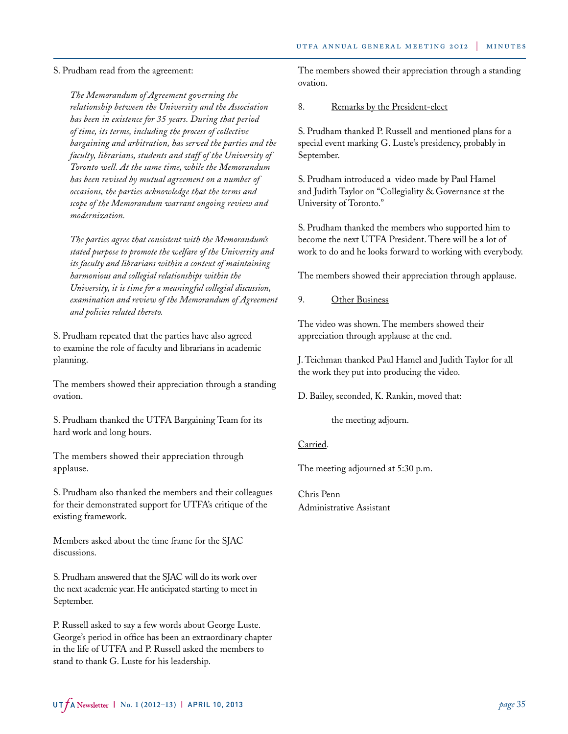S. Prudham read from the agreement:

*The Memorandum of Agreement governing the relationship between the University and the Association has been in existence for 35 years. During that period of time, its terms, including the process of collective bargaining and arbitration, has served the parties and the faculty, librarians, students and staff of the University of Toronto well. At the same time, while the Memorandum has been revised by mutual agreement on a number of occasions, the parties acknowledge that the terms and scope of the Memorandum warrant ongoing review and modernization.*

*The parties agree that consistent with the Memorandum's stated purpose to promote the welfare of the University and its faculty and librarians within a context of maintaining harmonious and collegial relationships within the University, it is time for a meaningful collegial discussion, examination and review of the Memorandum of Agreement and policies related thereto.*

S. Prudham repeated that the parties have also agreed to examine the role of faculty and librarians in academic planning.

The members showed their appreciation through a standing ovation.

S. Prudham thanked the UTFA Bargaining Team for its hard work and long hours.

The members showed their appreciation through applause.

S. Prudham also thanked the members and their colleagues for their demonstrated support for UTFA's critique of the existing framework.

Members asked about the time frame for the SJAC discussions.

S. Prudham answered that the SJAC will do its work over the next academic year. He anticipated starting to meet in September.

P. Russell asked to say a few words about George Luste. George's period in office has been an extraordinary chapter in the life of UTFA and P. Russell asked the members to stand to thank G. Luste for his leadership.

The members showed their appreciation through a standing ovation.

8. Remarks by the President-elect

S. Prudham thanked P. Russell and mentioned plans for a special event marking G. Luste's presidency, probably in September.

S. Prudham introduced a video made by Paul Hamel and Judith Taylor on "Collegiality & Governance at the University of Toronto."

S. Prudham thanked the members who supported him to become the next UTFA President. There will be a lot of work to do and he looks forward to working with everybody.

The members showed their appreciation through applause.

9. Other Business

The video was shown. The members showed their appreciation through applause at the end.

J. Teichman thanked Paul Hamel and Judith Taylor for all the work they put into producing the video.

D. Bailey, seconded, K. Rankin, moved that:

the meeting adjourn.

Carried.

The meeting adjourned at 5:30 p.m.

Chris Penn Administrative Assistant